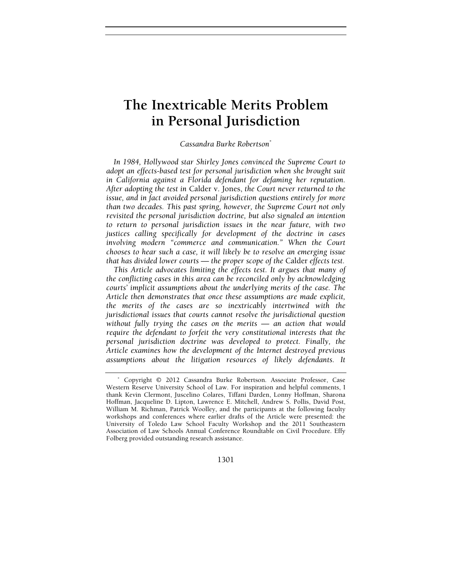# **The Inextricable Merits Problem in Personal Jurisdiction**

## *Cassandra Burke Robertson*\*

*In 1984, Hollywood star Shirley Jones convinced the Supreme Court to adopt an effects-based test for personal jurisdiction when she brought suit in California against a Florida defendant for defaming her reputation. After adopting the test in* Calder v. Jones, *the Court never returned to the issue, and in fact avoided personal jurisdiction questions entirely for more than two decades. This past spring, however, the Supreme Court not only revisited the personal jurisdiction doctrine, but also signaled an intention to return to personal jurisdiction issues in the near future, with two justices calling specifically for development of the doctrine in cases involving modern "commerce and communication." When the Court chooses to hear such a case, it will likely be to resolve an emerging issue that has divided lower courts — the proper scope of the* Calder *effects test.*

*This Article advocates limiting the effects test. It argues that many of the conflicting cases in this area can be reconciled only by acknowledging courts' implicit assumptions about the underlying merits of the case. The Article then demonstrates that once these assumptions are made explicit, the merits of the cases are so inextricably intertwined with the jurisdictional issues that courts cannot resolve the jurisdictional question without fully trying the cases on the merits — an action that would require the defendant to forfeit the very constitutional interests that the personal jurisdiction doctrine was developed to protect. Finally, the Article examines how the development of the Internet destroyed previous assumptions about the litigation resources of likely defendants. It* 

1301

<sup>\*</sup> Copyright © 2012 Cassandra Burke Robertson. Associate Professor, Case Western Reserve University School of Law. For inspiration and helpful comments, I thank Kevin Clermont, Juscelino Colares, Tiffani Darden, Lonny Hoffman, Sharona Hoffman, Jacqueline D. Lipton, Lawrence E. Mitchell, Andrew S. Pollis, David Post, William M. Richman, Patrick Woolley, and the participants at the following faculty workshops and conferences where earlier drafts of the Article were presented: the University of Toledo Law School Faculty Workshop and the 2011 Southeastern Association of Law Schools Annual Conference Roundtable on Civil Procedure. Effy Folberg provided outstanding research assistance.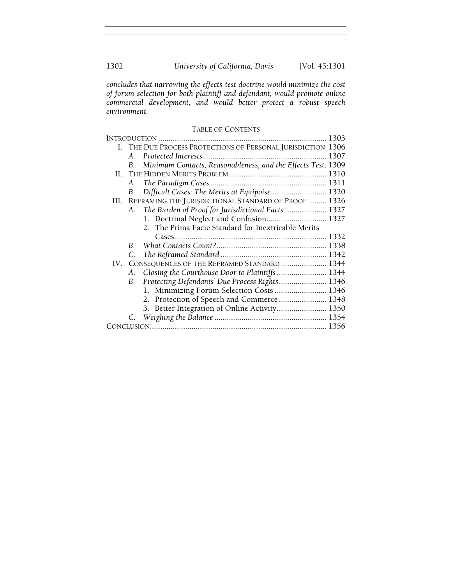*concludes that narrowing the effects-test doctrine would minimize the cost of forum selection for both plaintiff and defendant, would promote online commercial development, and would better protect a robust speech environment.*

# TABLE OF CONTENTS

|      |         |                                                              | 1303 |
|------|---------|--------------------------------------------------------------|------|
|      |         | I. THE DUE PROCESS PROTECTIONS OF PERSONAL JURISDICTION 1306 |      |
|      | A.      |                                                              |      |
|      | B.      | Minimum Contacts, Reasonableness, and the Effects Test. 1309 |      |
| H.   |         |                                                              |      |
|      | А.      |                                                              |      |
|      | В.      | Difficult Cases: The Merits at Equipoise  1320               |      |
| III. |         | REFRAMING THE JURISDICTIONAL STANDARD OF PROOF  1326         |      |
|      | A.      | The Burden of Proof for Jurisdictional Facts  1327           |      |
|      |         | 1. Doctrinal Neglect and Confusion 1327                      |      |
|      |         | 2. The Prima Facie Standard for Inextricable Merits          |      |
|      |         |                                                              |      |
|      | $B_{-}$ |                                                              |      |
|      | C.      |                                                              |      |
| IV.  |         | CONSEQUENCES OF THE REFRAMED STANDARD  1344                  |      |
|      | А.      | Closing the Courthouse Door to Plaintiffs  1344              |      |
|      | B.      | Protecting Defendants' Due Process Rights 1346               |      |
|      |         | 1. Minimizing Forum-Selection Costs  1346                    |      |
|      |         | 2. Protection of Speech and Commerce  1348                   |      |
|      |         | 3. Better Integration of Online Activity 1350                |      |
|      |         |                                                              |      |
|      |         |                                                              |      |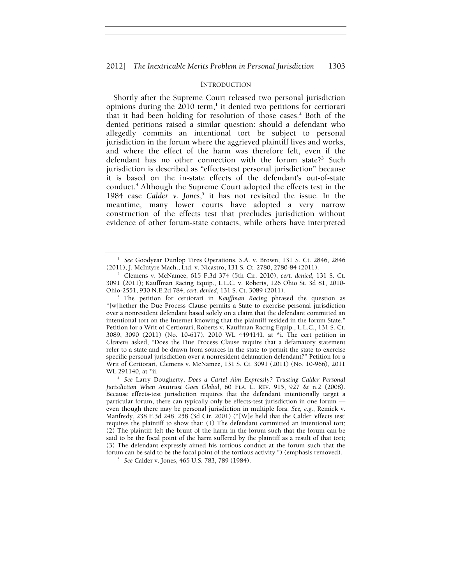## INTRODUCTION

Shortly after the Supreme Court released two personal jurisdiction opinions during the 2010 term,<sup>1</sup> it denied two petitions for certiorari that it had been holding for resolution of those cases.<sup>2</sup> Both of the denied petitions raised a similar question: should a defendant who allegedly commits an intentional tort be subject to personal jurisdiction in the forum where the aggrieved plaintiff lives and works, and where the effect of the harm was therefore felt, even if the defendant has no other connection with the forum state?<sup>3</sup> Such jurisdiction is described as "effects-test personal jurisdiction" because it is based on the in-state effects of the defendant's out-of-state conduct.<sup>4</sup> Although the Supreme Court adopted the effects test in the 1984 case *Calder v. Jones*, 5 it has not revisited the issue. In the meantime, many lower courts have adopted a very narrow construction of the effects test that precludes jurisdiction without evidence of other forum-state contacts, while others have interpreted

<sup>1</sup> *See* Goodyear Dunlop Tires Operations, S.A. v. Brown, 131 S. Ct. 2846, 2846 (2011); J. McIntyre Mach., Ltd. v. Nicastro, 131 S. Ct. 2780, 2780-84 (2011). 2

Clemens v. McNamee, 615 F.3d 374 (5th Cir. 2010), *cert. denied*, 131 S. Ct. 3091 (2011); Kauffman Racing Equip., L.L.C. v. Roberts, 126 Ohio St. 3d 81, 2010- Ohio-2551, 930 N.E.2d 784, *cert. denied*, 131 S. Ct. 3089 (2011). 3

<sup>&</sup>lt;sup>3</sup> The petition for certiorari in *Kauffman Racing* phrased the question as "[w]hether the Due Process Clause permits a State to exercise personal jurisdiction over a nonresident defendant based solely on a claim that the defendant committed an intentional tort on the Internet knowing that the plaintiff resided in the forum State." Petition for a Writ of Certiorari, Roberts v. Kauffman Racing Equip., L.L.C., 131 S. Ct. 3089, 3090 (2011) (No. 10-617), 2010 WL 4494141, at \*i. The cert petition in *Clemens* asked, "Does the Due Process Clause require that a defamatory statement refer to a state and be drawn from sources in the state to permit the state to exercise specific personal jurisdiction over a nonresident defamation defendant?" Petition for a Writ of Certiorari, Clemens v. McNamee, 131 S. Ct. 3091 (2011) (No. 10-966), 2011 WL 291140, at \*ii.<br><sup>4</sup> *See Larry Dougherty, Does a Cartel Aim Expressly? Trusting Calder Personal* 

*Jurisdiction When Antitrust Goes Global*, 60 FLA. L. REV. 915, 927 & n.2 (2008). Because effects-test jurisdiction requires that the defendant intentionally target a particular forum, there can typically only be effects-test jurisdiction in one forum even though there may be personal jurisdiction in multiple fora. *See, e.g.*, Remick v. Manfredy, 238 F.3d 248, 258 (3d Cir. 2001) ("[W]e held that the Calder 'effects test' requires the plaintiff to show that: (1) The defendant committed an intentional tort; (2) The plaintiff felt the brunt of the harm in the forum such that the forum can be said to be the focal point of the harm suffered by the plaintiff as a result of that tort; (3) The defendant expressly aimed his tortious conduct at the forum such that the forum can be said to be the focal point of the tortious activity.") (emphasis removed). 5 *See* Calder v. Jones, 465 U.S. 783, 789 (1984).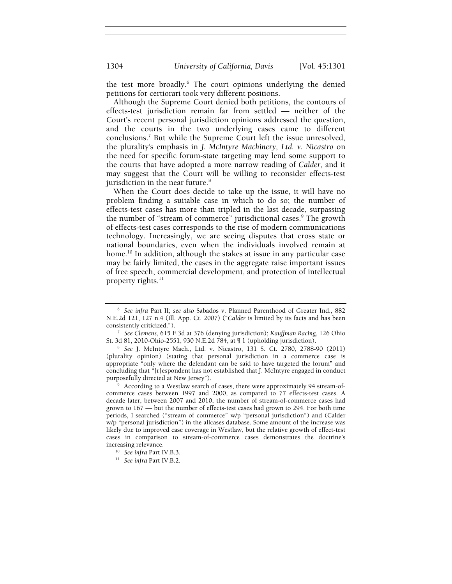the test more broadly.<sup>6</sup> The court opinions underlying the denied petitions for certiorari took very different positions.

Although the Supreme Court denied both petitions, the contours of effects-test jurisdiction remain far from settled — neither of the Court's recent personal jurisdiction opinions addressed the question, and the courts in the two underlying cases came to different conclusions.7 But while the Supreme Court left the issue unresolved, the plurality's emphasis in *J. McIntyre Machinery, Ltd. v. Nicastro* on the need for specific forum-state targeting may lend some support to the courts that have adopted a more narrow reading of *Calder*, and it may suggest that the Court will be willing to reconsider effects-test jurisdiction in the near future.<sup>8</sup>

When the Court does decide to take up the issue, it will have no problem finding a suitable case in which to do so; the number of effects-test cases has more than tripled in the last decade, surpassing the number of "stream of commerce" jurisdictional cases.<sup>9</sup> The growth of effects-test cases corresponds to the rise of modern communications technology. Increasingly, we are seeing disputes that cross state or national boundaries, even when the individuals involved remain at home.<sup>10</sup> In addition, although the stakes at issue in any particular case may be fairly limited, the cases in the aggregate raise important issues of free speech, commercial development, and protection of intellectual property rights.<sup>11</sup>

<sup>6</sup> *See infra* Part II; *see also* Sabados v. Planned Parenthood of Greater Ind., 882 N.E.2d 121, 127 n.4 (Ill. App. Ct. 2007) ("*Calder* is limited by its facts and has been

<sup>&</sup>lt;sup>7</sup> *See Clemens*, 615 F.3d at 376 (denying jurisdiction); *Kauffman Racing*, 126 Ohio St. 3d 81, 2010-Ohio-2551, 930 N.E.2d 784, at  $\P$  1 (upholding jurisdiction).

<sup>&</sup>lt;sup>8</sup> See J. McIntyre Mach., Ltd. v. Nicastro, 131 S. Ct. 2780, 2788-90 (2011) (plurality opinion) (stating that personal jurisdiction in a commerce case is appropriate "only where the defendant can be said to have targeted the forum" and concluding that "[r]espondent has not established that J. McIntyre engaged in conduct purposefully directed at New Jersey").

According to a Westlaw search of cases, there were approximately 94 stream-ofcommerce cases between 1997 and 2000, as compared to 77 effects-test cases. A decade later, between 2007 and 2010, the number of stream-of-commerce cases had grown to 167 — but the number of effects-test cases had grown to 294. For both time periods, I searched ("stream of commerce" w/p "personal jurisdiction") and (Calder w/p "personal jurisdiction") in the allcases database. Some amount of the increase was likely due to improved case coverage in Westlaw, but the relative growth of effect-test cases in comparison to stream-of-commerce cases demonstrates the doctrine's increasing relevance. 10 *See infra* Part IV.B.3. 11 *See infra* Part IV.B.2.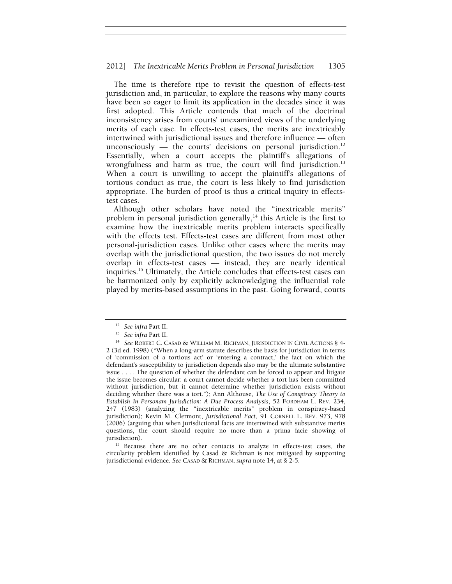The time is therefore ripe to revisit the question of effects-test jurisdiction and, in particular, to explore the reasons why many courts have been so eager to limit its application in the decades since it was first adopted. This Article contends that much of the doctrinal inconsistency arises from courts' unexamined views of the underlying merits of each case. In effects-test cases, the merits are inextricably intertwined with jurisdictional issues and therefore influence — often unconsciously — the courts' decisions on personal jurisdiction.<sup>12</sup> Essentially, when a court accepts the plaintiff's allegations of wrongfulness and harm as true, the court will find jurisdiction.<sup>13</sup> When a court is unwilling to accept the plaintiff's allegations of tortious conduct as true, the court is less likely to find jurisdiction appropriate. The burden of proof is thus a critical inquiry in effectstest cases.

Although other scholars have noted the "inextricable merits" problem in personal jurisdiction generally, $14$  this Article is the first to examine how the inextricable merits problem interacts specifically with the effects test. Effects-test cases are different from most other personal-jurisdiction cases. Unlike other cases where the merits may overlap with the jurisdictional question, the two issues do not merely overlap in effects-test cases — instead, they are nearly identical inquiries.15 Ultimately, the Article concludes that effects-test cases can be harmonized only by explicitly acknowledging the influential role played by merits-based assumptions in the past. Going forward, courts

circularity problem identified by Casad & Richman is not mitigated by supporting jurisdictional evidence. *See* CASAD & RICHMAN, *supra* note 14, at § 2-5.

<sup>&</sup>lt;sup>12</sup> See infra Part II.<br><sup>13</sup> See infra Part II.<br><sup>14</sup> See ROBERT C. CASAD & WILLIAM M. RICHMAN, JURISDICTION IN CIVIL ACTIONS § 4-2 (3d ed. 1998) ("When a long-arm statute describes the basis for jurisdiction in terms of 'commission of a tortious act' or 'entering a contract,' the fact on which the defendant's susceptibility to jurisdiction depends also may be the ultimate substantive issue . . . . The question of whether the defendant can be forced to appear and litigate the issue becomes circular: a court cannot decide whether a tort has been committed without jurisdiction, but it cannot determine whether jurisdiction exists without deciding whether there was a tort."); Ann Althouse, *The Use of Conspiracy Theory to Establish In Personam Jurisdiction: A Due Process Analysis*, 52 FORDHAM L. REV. 234, 247 (1983) (analyzing the "inextricable merits" problem in conspiracy-based jurisdiction); Kevin M. Clermont, *Jurisdictional Fact*, 91 CORNELL L. REV. 973, 978 (2006) (arguing that when jurisdictional facts are intertwined with substantive merits questions, the court should require no more than a prima facie showing of jurisdiction). 15 Because there are no other contacts to analyze in effects-test cases, the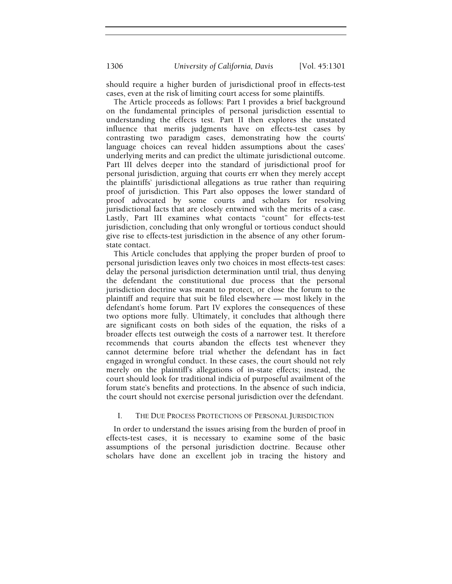should require a higher burden of jurisdictional proof in effects-test cases, even at the risk of limiting court access for some plaintiffs.

The Article proceeds as follows: Part I provides a brief background on the fundamental principles of personal jurisdiction essential to understanding the effects test. Part II then explores the unstated influence that merits judgments have on effects-test cases by contrasting two paradigm cases, demonstrating how the courts' language choices can reveal hidden assumptions about the cases' underlying merits and can predict the ultimate jurisdictional outcome. Part III delves deeper into the standard of jurisdictional proof for personal jurisdiction, arguing that courts err when they merely accept the plaintiffs' jurisdictional allegations as true rather than requiring proof of jurisdiction. This Part also opposes the lower standard of proof advocated by some courts and scholars for resolving jurisdictional facts that are closely entwined with the merits of a case. Lastly, Part III examines what contacts "count" for effects-test jurisdiction, concluding that only wrongful or tortious conduct should give rise to effects-test jurisdiction in the absence of any other forumstate contact.

This Article concludes that applying the proper burden of proof to personal jurisdiction leaves only two choices in most effects-test cases: delay the personal jurisdiction determination until trial, thus denying the defendant the constitutional due process that the personal jurisdiction doctrine was meant to protect, or close the forum to the plaintiff and require that suit be filed elsewhere — most likely in the defendant's home forum. Part IV explores the consequences of these two options more fully. Ultimately, it concludes that although there are significant costs on both sides of the equation, the risks of a broader effects test outweigh the costs of a narrower test. It therefore recommends that courts abandon the effects test whenever they cannot determine before trial whether the defendant has in fact engaged in wrongful conduct. In these cases, the court should not rely merely on the plaintiff's allegations of in-state effects; instead, the court should look for traditional indicia of purposeful availment of the forum state's benefits and protections. In the absence of such indicia, the court should not exercise personal jurisdiction over the defendant.

# I. THE DUE PROCESS PROTECTIONS OF PERSONAL JURISDICTION

In order to understand the issues arising from the burden of proof in effects-test cases, it is necessary to examine some of the basic assumptions of the personal jurisdiction doctrine. Because other scholars have done an excellent job in tracing the history and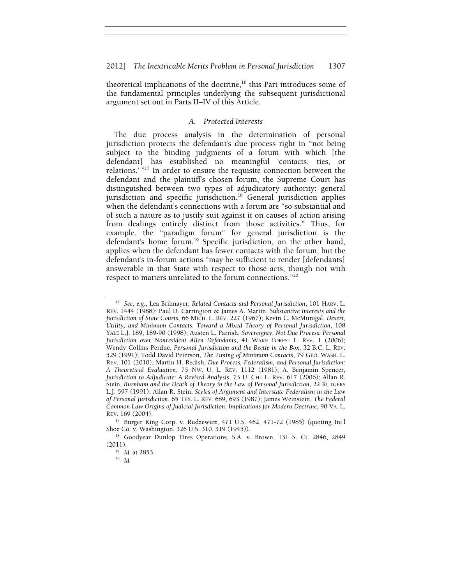theoretical implications of the doctrine, $16$  this Part introduces some of the fundamental principles underlying the subsequent jurisdictional argument set out in Parts II–IV of this Article.

# *A. Protected Interests*

The due process analysis in the determination of personal jurisdiction protects the defendant's due process right in "not being subject to the binding judgments of a forum with which [the defendant] has established no meaningful 'contacts, ties, or relations.' "17 In order to ensure the requisite connection between the defendant and the plaintiff's chosen forum, the Supreme Court has distinguished between two types of adjudicatory authority: general jurisdiction and specific jurisdiction.<sup>18</sup> General jurisdiction applies when the defendant's connections with a forum are "so substantial and of such a nature as to justify suit against it on causes of action arising from dealings entirely distinct from those activities." Thus, for example, the "paradigm forum" for general jurisdiction is the defendant's home forum.<sup>19</sup> Specific jurisdiction, on the other hand, applies when the defendant has fewer contacts with the forum, but the defendant's in-forum actions "may be sufficient to render [defendants] answerable in that State with respect to those acts, though not with respect to matters unrelated to the forum connections."20

<sup>16</sup> *See, e.g.*, Lea Brilmayer, *Related Contacts and Personal Jurisdiction*, 101 HARV. L. REV. 1444 (1988); Paul D. Carrington & James A. Martin, *Substantive Interests and the Jurisdiction of State Courts*, 66 MICH. L. REV. 227 (1967); Kevin C. McMunigal, *Desert, Utility, and Minimum Contacts: Toward a Mixed Theory of Personal Jurisdiction*, 108 YALE L.J. 189, 189-90 (1998); Austen L. Parrish, *Sovereignty, Not Due Process: Personal Jurisdiction over Nonresident Alien Defendants*, 41 WAKE FOREST L. REV. 1 (2006); Wendy Collins Perdue, *Personal Jurisdiction and the Beetle in the Box*, 32 B.C. L. REV. 529 (1991); Todd David Peterson, *The Timing of Minimum Contacts*, 79 GEO. WASH. L. REV. 101 (2010); Martin H. Redish, *Due Process, Federalism, and Personal Jurisdiction: A Theoretical Evaluation*, 75 NW. U. L. REV. 1112 (1981); A. Benjamin Spencer, *Jurisdiction to Adjudicate: A Revised Analysis*, 73 U. CHI. L. REV. 617 (2006); Allan R. Stein, *Burnham and the Death of Theory in the Law of Personal Jurisdiction*, 22 RUTGERS L.J. 597 (1991); Allan R. Stein, *Styles of Argument and Interstate Federalism in the Law of Personal Jurisdiction*, 65 TEX. L. REV. 689, 693 (1987); James Weinstein, *The Federal Common Law Origins of Judicial Jurisdiction: Implications for Modern Doctrine*, 90 VA. L. REV. 169 (2004).

<sup>17</sup> Burger King Corp. v. Rudzewicz, 471 U.S. 462, 471-72 (1985) (quoting Int'l Shoe Co. v. Washington, 326 U.S. 310, 319 (1945)).<br><sup>18</sup> Goodyear Dunlop Tires Operations, S.A. v. Brown, 131 S. Ct. 2846, 2849

<sup>(2011).&</sup>lt;br><sup>19</sup> *Id.* at 2853.<br><sup>20</sup> *Id.*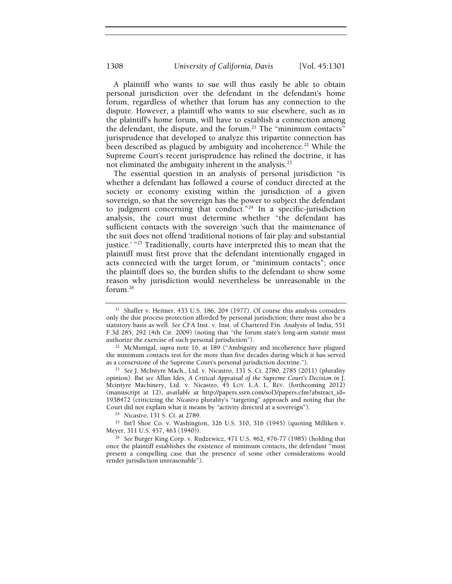A plaintiff who wants to sue will thus easily be able to obtain personal jurisdiction over the defendant in the defendant's home forum, regardless of whether that forum has any connection to the dispute. However, a plaintiff who wants to sue elsewhere, such as in the plaintiff's home forum, will have to establish a connection among the defendant, the dispute, and the forum.<sup>21</sup> The "minimum contacts" jurisprudence that developed to analyze this tripartite connection has been described as plagued by ambiguity and incoherence.<sup>22</sup> While the Supreme Court's recent jurisprudence has refined the doctrine, it has not eliminated the ambiguity inherent in the analysis.<sup>23</sup>

The essential question in an analysis of personal jurisdiction "is whether a defendant has followed a course of conduct directed at the society or economy existing within the jurisdiction of a given sovereign, so that the sovereign has the power to subject the defendant to judgment concerning that conduct."<sup>24</sup> In a specific-jurisdiction analysis, the court must determine whether "the defendant has sufficient contacts with the sovereign 'such that the maintenance of the suit does not offend 'traditional notions of fair play and substantial justice.' "<sup>25</sup> Traditionally, courts have interpreted this to mean that the plaintiff must first prove that the defendant intentionally engaged in acts connected with the target forum, or "minimum contacts"; once the plaintiff does so, the burden shifts to the defendant to show some reason why jurisdiction would nevertheless be unreasonable in the forum.26

<sup>24</sup> Nicastro, 131 S. Ct. at 2789.<br><sup>25</sup> Int'l Shoe Co. v. Washington, 326 U.S. 310, 316 (1945) (quoting Milliken v.<br>Meyer, 311 U.S. 457, 463 (1940)).

<sup>26</sup> See Burger King Corp. v. Rudzewicz, 471 U.S. 462, 476-77 (1985) (holding that once the plaintiff establishes the existence of minimum contacts, the defendant "must present a compelling case that the presence of some other considerations would render jurisdiction unreasonable").

<sup>&</sup>lt;sup>21</sup> Shaffer v. Heitner, 433 U.S. 186, 204 (1977). Of course this analysis considers only the due process protection afforded by personal jurisdiction; there must also be a statutory basis as well. *See* CFA Inst. v. Inst. of Chartered Fin. Analysts of India, 551 F.3d 285, 292 (4th Cir. 2009) (noting that "the forum state's long-arm statute must authorize the exercise of such personal jurisdiction").

<sup>22</sup> McMunigal, *supra* note 16, at 189 ("Ambiguity and incoherence have plagued the minimum contacts test for the more than five decades during which it has served as a cornerstone of the Supreme Court's personal jurisdiction doctrine.").

<sup>&</sup>lt;sup>23</sup> See J. McIntyre Mach., Ltd. v. Nicastro, 131 S. Ct. 2780, 2785 (2011) (plurality opinion). *But see* Allan Ides, *A Critical Appraisal of the Supreme Court's Decision in* J. Mcintyre Machinery, Ltd. v. Nicastro, 45 LOY. L.A. L. REV. (forthcoming 2012) (manuscript at 12), *available at* http://papers.ssrn.com/sol3/papers.cfm?abstract\_id= 1938472 (criticizing the *Nicastro* plurality's "targeting" approach and noting that the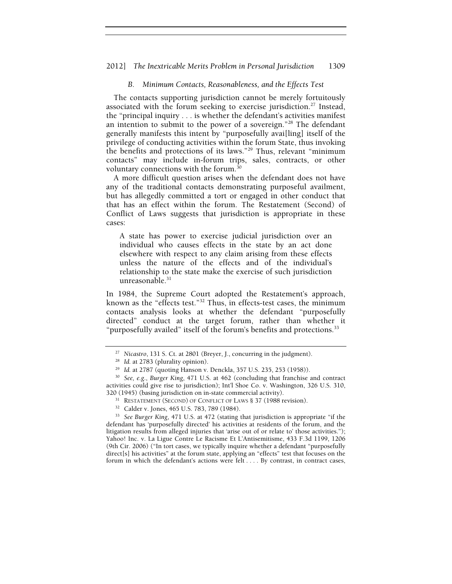#### 2012] *The Inextricable Merits Problem in Personal Jurisdiction* 1309

## *B. Minimum Contacts, Reasonableness, and the Effects Test*

The contacts supporting jurisdiction cannot be merely fortuitously associated with the forum seeking to exercise jurisdiction.<sup>27</sup> Instead, the "principal inquiry . . . is whether the defendant's activities manifest an intention to submit to the power of a sovereign."28 The defendant generally manifests this intent by "purposefully avai[ling] itself of the privilege of conducting activities within the forum State, thus invoking the benefits and protections of its laws."<sup>29</sup> Thus, relevant "minimum" contacts" may include in-forum trips, sales, contracts, or other voluntary connections with the forum.<sup>30</sup>

A more difficult question arises when the defendant does not have any of the traditional contacts demonstrating purposeful availment, but has allegedly committed a tort or engaged in other conduct that that has an effect within the forum. The Restatement (Second) of Conflict of Laws suggests that jurisdiction is appropriate in these cases:

A state has power to exercise judicial jurisdiction over an individual who causes effects in the state by an act done elsewhere with respect to any claim arising from these effects unless the nature of the effects and of the individual's relationship to the state make the exercise of such jurisdiction unreasonable.<sup>31</sup>

In 1984, the Supreme Court adopted the Restatement's approach, known as the "effects test."32 Thus, in effects-test cases, the minimum contacts analysis looks at whether the defendant "purposefully directed" conduct at the target forum, rather than whether it "purposefully availed" itself of the forum's benefits and protections.<sup>33</sup>

<sup>&</sup>lt;sup>27</sup> Nicastro, 131 S. Ct. at 2801 (Breyer, J., concurring in the judgment).<br><sup>28</sup> Id. at 2783 (plurality opinion).

<sup>&</sup>lt;sup>29</sup> Id. at 2787 (quoting Hanson v. Denckla, 357 U.S. 235, 253 (1958)). <sup>30</sup> *See, e.g., Burger King, 471 U.S. at 462 (concluding that franchise and contract* activities could give rise to jurisdiction); Int'l Shoe Co. v. Washington, 326 U.S. 310, 320 (1945) (basing jurisdiction on in-state commercial activity).<br><sup>31</sup> RESTATEMENT (SECOND) OF CONFLICT OF LAWS § 37 (1988 revision).<br><sup>32</sup> Calder v. Jones, 465 U.S. 783, 789 (1984).

<sup>33</sup> *See Burger King*, 471 U.S. at 472 (stating that jurisdiction is appropriate "if the defendant has 'purposefully directed' his activities at residents of the forum, and the litigation results from alleged injuries that 'arise out of or relate to' those activities."); Yahoo! Inc. v. La Ligue Contre Le Racisme Et L'Antisemitisme, 433 F.3d 1199, 1206 (9th Cir. 2006) ("In tort cases, we typically inquire whether a defendant "purposefully direct[s] his activities" at the forum state, applying an "effects" test that focuses on the forum in which the defendant's actions were felt . . . . By contrast, in contract cases,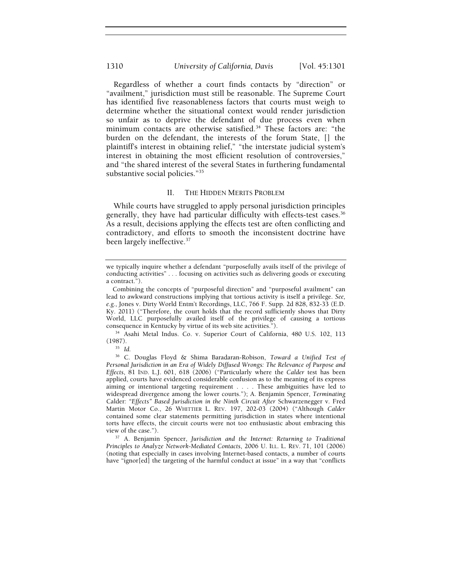Regardless of whether a court finds contacts by "direction" or "availment," jurisdiction must still be reasonable. The Supreme Court has identified five reasonableness factors that courts must weigh to determine whether the situational context would render jurisdiction so unfair as to deprive the defendant of due process even when minimum contacts are otherwise satisfied.34 These factors are: "the burden on the defendant, the interests of the forum State, [] the plaintiff's interest in obtaining relief," "the interstate judicial system's interest in obtaining the most efficient resolution of controversies," and "the shared interest of the several States in furthering fundamental substantive social policies."35

#### II. THE HIDDEN MERITS PROBLEM

While courts have struggled to apply personal jurisdiction principles generally, they have had particular difficulty with effects-test cases.<sup>36</sup> As a result, decisions applying the effects test are often conflicting and contradictory, and efforts to smooth the inconsistent doctrine have been largely ineffective.<sup>37</sup>

<sup>34</sup> Asahi Metal Indus. Co. v. Superior Court of California, 480 U.S. 102, 113 (1987).

*Principles to Analyze Network-Mediated Contacts*, 2006 U. ILL. L. REV. 71, 101 (2006) (noting that especially in cases involving Internet-based contacts, a number of courts have "ignor[ed] the targeting of the harmful conduct at issue" in a way that "conflicts

we typically inquire whether a defendant "purposefully avails itself of the privilege of conducting activities" . . . focusing on activities such as delivering goods or executing a contract.").

Combining the concepts of "purposeful direction" and "purposeful availment" can lead to awkward constructions implying that tortious activity is itself a privilege. *See, e.g.*, Jones v. Dirty World Entm't Recordings, LLC, 766 F. Supp. 2d 828, 832-33 (E.D. Ky. 2011) ("Therefore, the court holds that the record sufficiently shows that Dirty World, LLC purposefully availed itself of the privilege of causing a tortious consequence in Kentucky by virtue of its web site activities.").

<sup>35</sup> *Id.* 

<sup>36</sup> C. Douglas Floyd & Shima Baradaran-Robison, *Toward a Unified Test of Personal Jurisdiction in an Era of Widely Diffused Wrongs: The Relevance of Purpose and Effects*, 81 IND. L.J. 601, 618 (2006) ("Particularly where the *Calder* test has been applied, courts have evidenced considerable confusion as to the meaning of its express aiming or intentional targeting requirement . . . . These ambiguities have led to widespread divergence among the lower courts."); A. Benjamin Spencer, *Terminating*  Calder*: "Effects" Based Jurisdiction in the Ninth Circuit After* Schwarzenegger v. Fred Martin Motor Co., 26 WHITTIER L. REV. 197, 202-03 (2004) ("Although *Calder* contained some clear statements permitting jurisdiction in states where intentional torts have effects, the circuit courts were not too enthusiastic about embracing this view of the case."). 37 A. Benjamin Spencer, *Jurisdiction and the Internet: Returning to Traditional*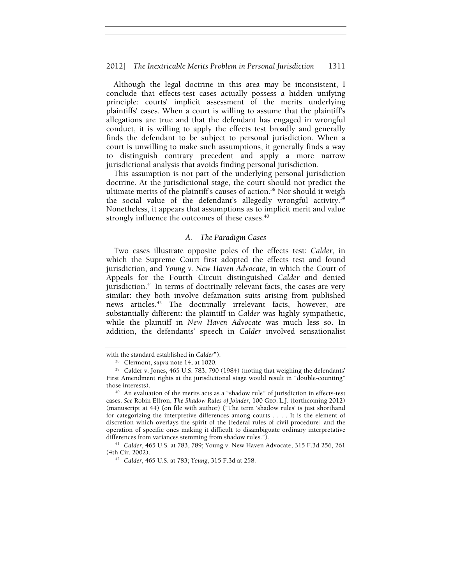Although the legal doctrine in this area may be inconsistent, I conclude that effects-test cases actually possess a hidden unifying principle: courts' implicit assessment of the merits underlying plaintiffs' cases. When a court is willing to assume that the plaintiff's allegations are true and that the defendant has engaged in wrongful conduct, it is willing to apply the effects test broadly and generally finds the defendant to be subject to personal jurisdiction. When a court is unwilling to make such assumptions, it generally finds a way to distinguish contrary precedent and apply a more narrow jurisdictional analysis that avoids finding personal jurisdiction.

This assumption is not part of the underlying personal jurisdiction doctrine. At the jurisdictional stage, the court should not predict the ultimate merits of the plaintiff's causes of action.<sup>38</sup> Nor should it weigh the social value of the defendant's allegedly wrongful activity.<sup>39</sup> Nonetheless, it appears that assumptions as to implicit merit and value strongly influence the outcomes of these cases.<sup>40</sup>

## *A. The Paradigm Cases*

Two cases illustrate opposite poles of the effects test: *Calder*, in which the Supreme Court first adopted the effects test and found jurisdiction, and *Young v. New Haven Advocate*, in which the Court of Appeals for the Fourth Circuit distinguished *Calder* and denied jurisdiction. $41$  In terms of doctrinally relevant facts, the cases are very similar: they both involve defamation suits arising from published news articles.<sup>42</sup> The doctrinally irrelevant facts, however, are substantially different: the plaintiff in *Calder* was highly sympathetic, while the plaintiff in *New Haven Advocate* was much less so. In addition, the defendants' speech in *Calder* involved sensationalist

with the standard established in *Calder*").<br><sup>38</sup> Clermont, *supra* note 14, at 1020.<br><sup>39</sup> Calder v. Jones, 465 U.S. 783, 790 (1984) (noting that weighing the defendants' First Amendment rights at the jurisdictional stage would result in "double-counting" those interests). 40 An evaluation of the merits acts as a "shadow rule" of jurisdiction in effects-test

cases. *See* Robin Effron, *The Shadow Rules of Joinder*, 100 GEO. L.J. (forthcoming 2012) (manuscript at 44) (on file with author) ("The term 'shadow rules' is just shorthand for categorizing the interpretive differences among courts . . . . It is the element of discretion which overlays the spirit of the [federal rules of civil procedure] and the operation of specific ones making it difficult to disambiguate ordinary interpretative

differences from variances stemming from shadow rules.").<br><sup>41</sup> *Calder*, 465 U.S. at 783, 789; Young v. New Haven Advocate, 315 F.3d 256, 261<br>(4th Cir. 2002).

<sup>&</sup>lt;sup>42</sup> *Calder*, 465 U.S. at 783; *Young*, 315 F.3d at 258.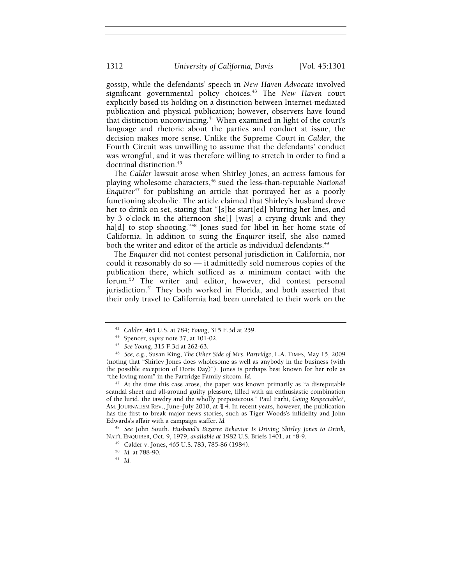gossip, while the defendants' speech in *New Haven Advocate* involved significant governmental policy choices.43 The *New Haven* court explicitly based its holding on a distinction between Internet-mediated publication and physical publication; however, observers have found that distinction unconvincing.<sup>44</sup> When examined in light of the court's language and rhetoric about the parties and conduct at issue, the decision makes more sense. Unlike the Supreme Court in *Calder*, the Fourth Circuit was unwilling to assume that the defendants' conduct was wrongful, and it was therefore willing to stretch in order to find a doctrinal distinction.<sup>45</sup>

The *Calder* lawsuit arose when Shirley Jones, an actress famous for playing wholesome characters,<sup>46</sup> sued the less-than-reputable *National Enquirer<sup>47</sup>* for publishing an article that portrayed her as a poorly functioning alcoholic. The article claimed that Shirley's husband drove her to drink on set, stating that "[s]he start[ed] blurring her lines, and by 3 o'clock in the afternoon she[] [was] a crying drunk and they ha[d] to stop shooting."<sup>48</sup> Jones sued for libel in her home state of California. In addition to suing the *Enquirer* itself, she also named both the writer and editor of the article as individual defendants.<sup>49</sup>

The *Enquirer* did not contest personal jurisdiction in California, nor could it reasonably do so — it admittedly sold numerous copies of the publication there, which sufficed as a minimum contact with the forum.50 The writer and editor, however, did contest personal jurisdiction.<sup>51</sup> They both worked in Florida, and both asserted that their only travel to California had been unrelated to their work on the

<sup>47</sup> At the time this case arose, the paper was known primarily as "a disreputable scandal sheet and all-around guilty pleasure, filled with an enthusiastic combination of the lurid, the tawdry and the wholly preposterous." Paul Farhi, *Going Respectable?*, AM. JOURNALISM REV., June–July 2010, at ¶ 4. In recent years, however, the publication has the first to break major news stories, such as Tiger Woods's infidelity and John Edwards's affair with a campaign staffer. *Id.* 

<sup>48</sup> *See* John South, *Husband's Bizarre Behavior Is Driving Shirley Jones to Drink*, NAT'L ENQUIRER, Oct. 9, 1979, *available at* 1982 U.S. Briefs 1401, at \*8-9.<br><sup>49</sup> Calder v. Jones, 465 U.S. 783, 785-86 (1984).

<sup>&</sup>lt;sup>43</sup> Calder, 465 U.S. at 784; Young, 315 F.3d at 259.<br><sup>44</sup> Spencer, supra note 37, at 101-02.<br><sup>45</sup> See Young, 315 F.3d at 262-63.<br><sup>46</sup> See, e.g., Susan King, *The Other Side of Mrs. Partridge*, L.A. TIMES, May 15, 2009 (noting that "Shirley Jones does wholesome as well as anybody in the business (with the possible exception of Doris Day)"). Jones is perhaps best known for her role as "the loving mom" in the Partridge Family sitcom. *Id.* 

<sup>50</sup> *Id.* at 788-90. 51 *Id.*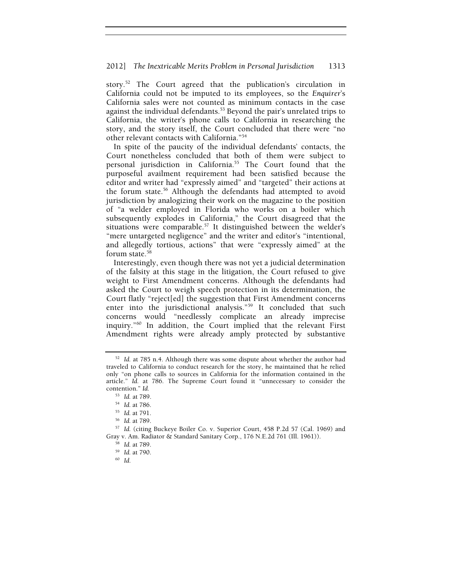story.52 The Court agreed that the publication's circulation in California could not be imputed to its employees, so the *Enquirer*'s California sales were not counted as minimum contacts in the case against the individual defendants.<sup>53</sup> Beyond the pair's unrelated trips to California, the writer's phone calls to California in researching the story, and the story itself, the Court concluded that there were "no other relevant contacts with California."54

In spite of the paucity of the individual defendants' contacts, the Court nonetheless concluded that both of them were subject to personal jurisdiction in California.55 The Court found that the purposeful availment requirement had been satisfied because the editor and writer had "expressly aimed" and "targeted" their actions at the forum state.56 Although the defendants had attempted to avoid jurisdiction by analogizing their work on the magazine to the position of "a welder employed in Florida who works on a boiler which subsequently explodes in California," the Court disagreed that the situations were comparable.<sup>57</sup> It distinguished between the welder's "mere untargeted negligence" and the writer and editor's "intentional, and allegedly tortious, actions" that were "expressly aimed" at the forum state.<sup>58</sup>

Interestingly, even though there was not yet a judicial determination of the falsity at this stage in the litigation, the Court refused to give weight to First Amendment concerns. Although the defendants had asked the Court to weigh speech protection in its determination, the Court flatly "reject[ed] the suggestion that First Amendment concerns enter into the jurisdictional analysis."<sup>59</sup> It concluded that such concerns would "needlessly complicate an already imprecise inquiry."60 In addition, the Court implied that the relevant First Amendment rights were already amply protected by substantive

<sup>52</sup> *Id.* at 785 n.4. Although there was some dispute about whether the author had traveled to California to conduct research for the story, he maintained that he relied only "on phone calls to sources in California for the information contained in the article." *Id.* at 786. The Supreme Court found it "unnecessary to consider the contention." *Id.* 

<sup>&</sup>lt;sup>53</sup> *Id.* at 789.<br><sup>54</sup> *Id.* at 786.<br><sup>55</sup> *Id.* at 791.<br><sup>56</sup> *Id.* (citing Buckeye Boiler Co. v. Superior Court, 458 P.2d 57 (Cal. 1969) and Gray v. Am. Radiator & Standard Sanitary Corp., 176 N.E.2d 761 (Ill. 1961)).<br><sup>58</sup> *Id.* at 789.<br><sup>59</sup> *Id.* at 790.<br><sup>60</sup> *Id*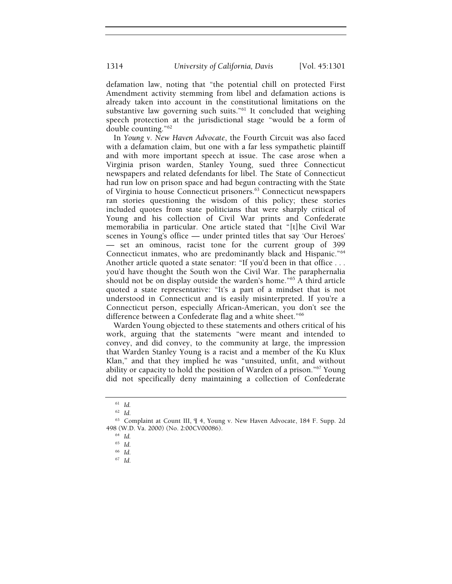defamation law, noting that "the potential chill on protected First Amendment activity stemming from libel and defamation actions is already taken into account in the constitutional limitations on the substantive law governing such suits."<sup>61</sup> It concluded that weighing speech protection at the jurisdictional stage "would be a form of double counting."62

In *Young v. New Haven Advocate*, the Fourth Circuit was also faced with a defamation claim, but one with a far less sympathetic plaintiff and with more important speech at issue. The case arose when a Virginia prison warden, Stanley Young, sued three Connecticut newspapers and related defendants for libel. The State of Connecticut had run low on prison space and had begun contracting with the State of Virginia to house Connecticut prisoners.63 Connecticut newspapers ran stories questioning the wisdom of this policy; these stories included quotes from state politicians that were sharply critical of Young and his collection of Civil War prints and Confederate memorabilia in particular. One article stated that "[t]he Civil War scenes in Young's office — under printed titles that say 'Our Heroes' — set an ominous, racist tone for the current group of 399 Connecticut inmates, who are predominantly black and Hispanic."64 Another article quoted a state senator: "If you'd been in that office . . .

you'd have thought the South won the Civil War. The paraphernalia should not be on display outside the warden's home."65 A third article quoted a state representative: "It's a part of a mindset that is not understood in Connecticut and is easily misinterpreted. If you're a Connecticut person, especially African-American, you don't see the difference between a Confederate flag and a white sheet."<sup>66</sup>

Warden Young objected to these statements and others critical of his work, arguing that the statements "were meant and intended to convey, and did convey, to the community at large, the impression that Warden Stanley Young is a racist and a member of the Ku Klux Klan," and that they implied he was "unsuited, unfit, and without ability or capacity to hold the position of Warden of a prison."67 Young did not specifically deny maintaining a collection of Confederate

<sup>61</sup> *Id.* 

<sup>62</sup> *Id.* 

<sup>63</sup> Complaint at Count III, ¶ 4, Young v. New Haven Advocate, 184 F. Supp. 2d 498 (W.D. Va. 2000) (No. 2:00CV00086). 64 *Id.*

<sup>65</sup> *Id.* 

<sup>66</sup> *Id.* 

<sup>67</sup> *Id.*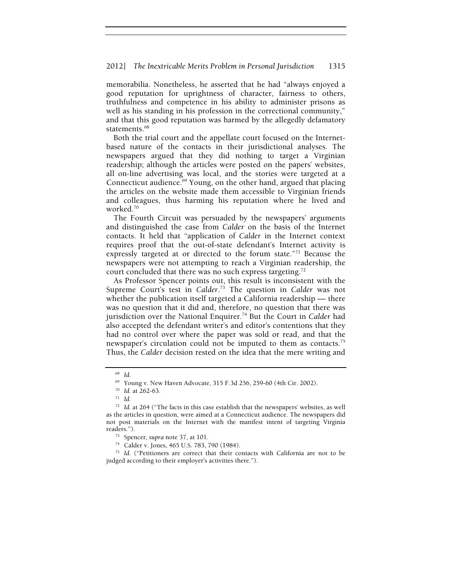memorabilia. Nonetheless, he asserted that he had "always enjoyed a good reputation for uprightness of character, fairness to others, truthfulness and competence in his ability to administer prisons as well as his standing in his profession in the correctional community," and that this good reputation was harmed by the allegedly defamatory statements.<sup>68</sup>

Both the trial court and the appellate court focused on the Internetbased nature of the contacts in their jurisdictional analyses. The newspapers argued that they did nothing to target a Virginian readership; although the articles were posted on the papers' websites, all on-line advertising was local, and the stories were targeted at a Connecticut audience.<sup>69</sup> Young, on the other hand, argued that placing the articles on the website made them accessible to Virginian friends and colleagues, thus harming his reputation where he lived and worked.70

The Fourth Circuit was persuaded by the newspapers' arguments and distinguished the case from *Calder* on the basis of the Internet contacts. It held that "application of *Calder* in the Internet context requires proof that the out-of-state defendant's Internet activity is expressly targeted at or directed to the forum state."71 Because the newspapers were not attempting to reach a Virginian readership, the court concluded that there was no such express targeting.<sup>72</sup>

As Professor Spencer points out, this result is inconsistent with the Supreme Court's test in *Calder*. 73 The question in *Calder* was not whether the publication itself targeted a California readership — there was no question that it did and, therefore, no question that there was jurisdiction over the National Enquirer.74 But the Court in *Calder* had also accepted the defendant writer's and editor's contentions that they had no control over where the paper was sold or read, and that the newspaper's circulation could not be imputed to them as contacts.<sup>75</sup> Thus, the *Calder* decision rested on the idea that the mere writing and

<sup>75</sup> *Id.* ("Petitioners are correct that their contacts with California are not to be judged according to their employer's activities there.").

<sup>68</sup> *Id.* 

<sup>69</sup> Young v. New Haven Advocate, 315 F.3d 256, 259-60 (4th Cir. 2002).

<sup>70</sup> *Id.* at 262-63. 71 *Id.*

<sup>72</sup> *Id.* at 264 ("The facts in this case establish that the newspapers' websites, as well as the articles in question, were aimed at a Connecticut audience. The newspapers did not post materials on the Internet with the manifest intent of targeting Virginia

readers."). 73 Spencer*, supra* note 37, at 101. 74 Calder v. Jones, 465 U.S. 783, 790 (1984).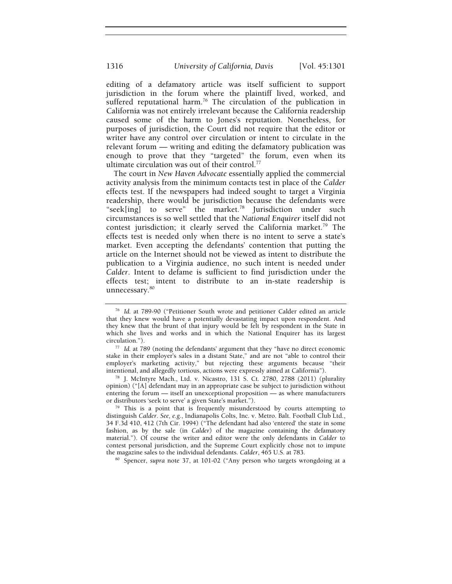editing of a defamatory article was itself sufficient to support jurisdiction in the forum where the plaintiff lived, worked, and suffered reputational harm.<sup>76</sup> The circulation of the publication in California was not entirely irrelevant because the California readership caused some of the harm to Jones's reputation. Nonetheless, for purposes of jurisdiction, the Court did not require that the editor or writer have any control over circulation or intent to circulate in the relevant forum — writing and editing the defamatory publication was enough to prove that they "targeted" the forum, even when its ultimate circulation was out of their control.<sup>77</sup>

The court in *New Haven Advocate* essentially applied the commercial activity analysis from the minimum contacts test in place of the *Calder*  effects test. If the newspapers had indeed sought to target a Virginia readership, there would be jurisdiction because the defendants were "seek[ing] to serve" the market*.* 78 Jurisdiction under such circumstances is so well settled that the *National Enquirer* itself did not contest jurisdiction; it clearly served the California market.<sup>79</sup> The effects test is needed only when there is no intent to serve a state's market. Even accepting the defendants' contention that putting the article on the Internet should not be viewed as intent to distribute the publication to a Virginia audience, no such intent is needed under *Calder*. Intent to defame is sufficient to find jurisdiction under the effects test; intent to distribute to an in-state readership is unnecessary.80

opinion) ("[A] defendant may in an appropriate case be subject to jurisdiction without entering the forum — itself an unexceptional proposition — as where manufacturers or distributors 'seek to serve' a given State's market.").

<sup>79</sup> This is a point that is frequently misunderstood by courts attempting to distinguish *Calder*. *See, e.g.*, Indianapolis Colts, Inc. v. Metro. Balt. Football Club Ltd., 34 F.3d 410, 412 (7th Cir. 1994) ("The defendant had also 'entered' the state in some fashion, as by the sale (in *Calder*) of the magazine containing the defamatory material."). Of course the writer and editor were the only defendants in *Calder* to contest personal jurisdiction, and the Supreme Court explicitly chose not to impute the magazine sales to the individual defendants. *Calder*, 465 U.S. at 783.<br><sup>80</sup> Spencer, *supra* note 37, at 101-02 ("Any person who targets wrongdoing at a

<sup>76</sup> *Id.* at 789-90 ("Petitioner South wrote and petitioner Calder edited an article that they knew would have a potentially devastating impact upon respondent. And they knew that the brunt of that injury would be felt by respondent in the State in which she lives and works and in which the National Enquirer has its largest circulation."). 77 *Id.* at 789 (noting the defendants' argument that they "have no direct economic

stake in their employer's sales in a distant State," and are not "able to control their employer's marketing activity," but rejecting these arguments because "their intentional, and allegedly tortious, actions were expressly aimed at California"). 78 J. McIntyre Mach., Ltd. v. Nicastro, 131 S. Ct. 2780, 2788 (2011) (plurality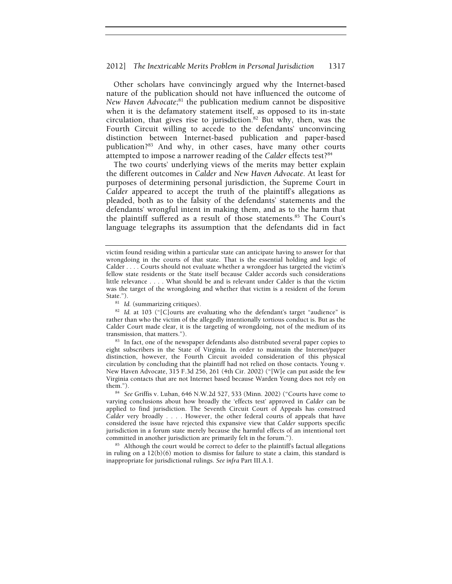Other scholars have convincingly argued why the Internet-based nature of the publication should not have influenced the outcome of *New Haven Advocate*; 81 the publication medium cannot be dispositive when it is the defamatory statement itself, as opposed to its in-state circulation, that gives rise to jurisdiction.<sup>82</sup> But why, then, was the Fourth Circuit willing to accede to the defendants' unconvincing distinction between Internet-based publication and paper-based publication?83 And why, in other cases, have many other courts attempted to impose a narrower reading of the *Calder* effects test?<sup>84</sup>

The two courts' underlying views of the merits may better explain the different outcomes in *Calder* and *New Haven Advocate*. At least for purposes of determining personal jurisdiction, the Supreme Court in *Calder* appeared to accept the truth of the plaintiff's allegations as pleaded, both as to the falsity of the defendants' statements and the defendants' wrongful intent in making them, and as to the harm that the plaintiff suffered as a result of those statements.<sup>85</sup> The Court's language telegraphs its assumption that the defendants did in fact

eight subscribers in the State of Virginia. In order to maintain the Internet/paper distinction, however, the Fourth Circuit avoided consideration of this physical circulation by concluding that the plaintiff had not relied on those contacts. Young v. New Haven Advocate, 315 F.3d 256, 261 (4th Cir. 2002) ("[W]e can put aside the few Virginia contacts that are not Internet based because Warden Young does not rely on

victim found residing within a particular state can anticipate having to answer for that wrongdoing in the courts of that state. That is the essential holding and logic of Calder . . . . Courts should not evaluate whether a wrongdoer has targeted the victim's fellow state residents or the State itself because Calder accords such considerations little relevance . . . . What should be and is relevant under Calder is that the victim was the target of the wrongdoing and whether that victim is a resident of the forum State.").

<sup>&</sup>lt;sup>81</sup> *Id.* (summarizing critiques). <sup>82</sup> *Id.* at 103 ("[C]ourts are evaluating who the defendant's target "audience" is rather than who the victim of the allegedly intentionally tortious conduct is. But as the Calder Court made clear, it is the targeting of wrongdoing, not of the medium of its transmission, that matters."). 83 In fact, one of the newspaper defendants also distributed several paper copies to

<sup>&</sup>lt;sup>84</sup> *See Griffis v. Luban, 646 N.W.2d 527, 533 (Minn. 2002) ("Courts have come to* varying conclusions about how broadly the 'effects test' approved in *Calder* can be applied to find jurisdiction. The Seventh Circuit Court of Appeals has construed *Calder* very broadly . . . . However, the other federal courts of appeals that have considered the issue have rejected this expansive view that *Calder* supports specific jurisdiction in a forum state merely because the harmful effects of an intentional tort committed in another jurisdiction are primarily felt in the forum."). 85 Although the court would be correct to defer to the plaintiff's factual allegations

in ruling on a  $12(b)(6)$  motion to dismiss for failure to state a claim, this standard is inappropriate for jurisdictional rulings. *See infra* Part III.A.1.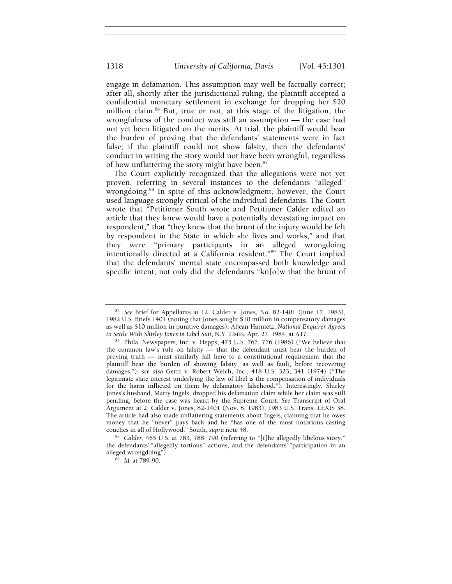engage in defamation. This assumption may well be factually correct; after all, shortly after the jurisdictional ruling, the plaintiff accepted a confidential monetary settlement in exchange for dropping her \$20 million claim.86 But, true or not, at this stage of the litigation, the wrongfulness of the conduct was still an assumption — the case had not yet been litigated on the merits. At trial, the plaintiff would bear the burden of proving that the defendants' statements were in fact false; if the plaintiff could not show falsity, then the defendants' conduct in writing the story would not have been wrongful, regardless of how unflattering the story might have been.<sup>87</sup>

The Court explicitly recognized that the allegations were not yet proven, referring in several instances to the defendants "alleged" wrongdoing.<sup>88</sup> In spite of this acknowledgment, however, the Court used language strongly critical of the individual defendants. The Court wrote that "Petitioner South wrote and Petitioner Calder edited an article that they knew would have a potentially devastating impact on respondent," that "they knew that the brunt of the injury would be felt by respondent in the State in which she lives and works," and that they were "primary participants in an alleged wrongdoing intentionally directed at a California resident."89 The Court implied that the defendants' mental state encompassed both knowledge and specific intent; not only did the defendants "kn[o]w that the brunt of

<sup>88</sup> Calder, 465 U.S. at 783, 788, 790 (referring to "[t]he allegedly libelous story," the defendants' "allegedly tortious" actions, and the defendants' "participation in an alleged wrongdoing"). 89 *Id.* at 789-90.

<sup>86</sup> *See* Brief for Appellants at 12, Calder v. Jones, No. 82-1401 (June 17, 1983), 1982 U.S. Briefs 1401 (noting that Jones sought \$10 million in compensatory damages as well as \$10 million in punitive damages); Aljean Harmetz, *National Enquirer Agrees* 

*to Settle With Shirley Jones in Libel Suit*, N.Y. TIMES, Apr. 27, 1984, at A17.<br><sup>87</sup> Phila. Newspapers, Inc. v. Hepps, 475 U.S. 767, 776 (1986) ("We believe that the common law's rule on falsity — that the defendant must bear the burden of proving truth — must similarly fall here to a constitutional requirement that the plaintiff bear the burden of showing falsity, as well as fault, before recovering damages."); *see also* Gertz v. Robert Welch, Inc., 418 U.S. 323, 341 (1974) ("The legitimate state interest underlying the law of libel is the compensation of individuals for the harm inflicted on them by defamatory falsehood."). Interestingly, Shirley Jones's husband, Marty Ingels, dropped his defamation claim while her claim was still pending, before the case was heard by the Supreme Court. *See* Transcript of Oral Argument at 2, Calder v. Jones, 82-1401 (Nov. 8, 1983), 1983 U.S. Trans. LEXIS 38. The article had also made unflattering statements about Ingels, claiming that he owes money that he "never" pays back and he "has one of the most notorious casting couches in all of Hollywood." South, supra note 48.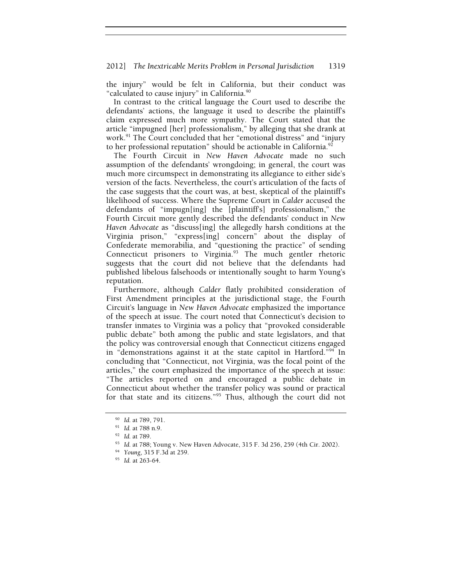the injury" would be felt in California, but their conduct was "calculated to cause injury" in California.<sup>90</sup>

In contrast to the critical language the Court used to describe the defendants' actions, the language it used to describe the plaintiff's claim expressed much more sympathy. The Court stated that the article "impugned [her] professionalism," by alleging that she drank at work.<sup>91</sup> The Court concluded that her "emotional distress" and "injury" to her professional reputation" should be actionable in California.<sup>92</sup>

The Fourth Circuit in *New Haven Advocate* made no such assumption of the defendants' wrongdoing; in general, the court was much more circumspect in demonstrating its allegiance to either side's version of the facts. Nevertheless, the court's articulation of the facts of the case suggests that the court was, at best, skeptical of the plaintiff's likelihood of success. Where the Supreme Court in *Calder* accused the defendants of "impugn[ing] the [plaintiff's] professionalism," the Fourth Circuit more gently described the defendants' conduct in *New Haven Advocate* as "discuss[ing] the allegedly harsh conditions at the Virginia prison," "express[ing] concern" about the display of Confederate memorabilia, and "questioning the practice" of sending Connecticut prisoners to Virginia.<sup>93</sup> The much gentler rhetoric suggests that the court did not believe that the defendants had published libelous falsehoods or intentionally sought to harm Young's reputation.

Furthermore, although *Calder* flatly prohibited consideration of First Amendment principles at the jurisdictional stage, the Fourth Circuit's language in *New Haven Advocate* emphasized the importance of the speech at issue. The court noted that Connecticut's decision to transfer inmates to Virginia was a policy that "provoked considerable public debate" both among the public and state legislators, and that the policy was controversial enough that Connecticut citizens engaged in "demonstrations against it at the state capitol in Hartford."94 In concluding that "Connecticut, not Virginia, was the focal point of the articles," the court emphasized the importance of the speech at issue: "The articles reported on and encouraged a public debate in Connecticut about whether the transfer policy was sound or practical for that state and its citizens."95 Thus, although the court did not

<sup>90</sup> *Id.* at 789, 791. 91 *Id.* at 788 n.9. 92 *Id.* at 789. 93 *Id.* at 788; Young v. New Haven Advocate, 315 F. 3d 256, 259 (4th Cir. 2002). 94 *Young*, 315 F.3d at 259.

<sup>95</sup> *Id.* at 263-64.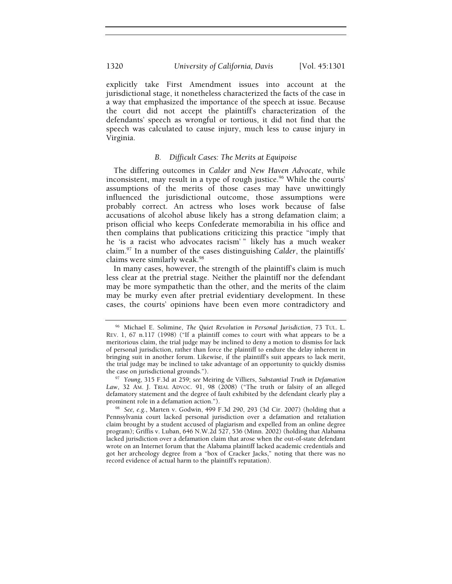explicitly take First Amendment issues into account at the jurisdictional stage, it nonetheless characterized the facts of the case in a way that emphasized the importance of the speech at issue. Because the court did not accept the plaintiff's characterization of the defendants' speech as wrongful or tortious, it did not find that the speech was calculated to cause injury, much less to cause injury in Virginia.

## *B. Difficult Cases: The Merits at Equipoise*

The differing outcomes in *Calder* and *New Haven Advocate*, while inconsistent, may result in a type of rough justice.<sup>96</sup> While the courts' assumptions of the merits of those cases may have unwittingly influenced the jurisdictional outcome, those assumptions were probably correct. An actress who loses work because of false accusations of alcohol abuse likely has a strong defamation claim; a prison official who keeps Confederate memorabilia in his office and then complains that publications criticizing this practice "imply that he 'is a racist who advocates racism' " likely has a much weaker claim.97 In a number of the cases distinguishing *Calder*, the plaintiffs' claims were similarly weak.<sup>98</sup>

In many cases, however, the strength of the plaintiff's claim is much less clear at the pretrial stage. Neither the plaintiff nor the defendant may be more sympathetic than the other, and the merits of the claim may be murky even after pretrial evidentiary development. In these cases, the courts' opinions have been even more contradictory and

<sup>96</sup> Michael E. Solimine, *The Quiet Revolution in Personal Jurisdiction*, 73 TUL. L. REV. 1, 67 n.117 (1998) ("If a plaintiff comes to court with what appears to be a meritorious claim, the trial judge may be inclined to deny a motion to dismiss for lack of personal jurisdiction, rather than force the plaintiff to endure the delay inherent in bringing suit in another forum. Likewise, if the plaintiff's suit appears to lack merit, the trial judge may be inclined to take advantage of an opportunity to quickly dismiss the case on jurisdictional grounds."). 97 *Young*, 315 F.3d at 259; *see* Meiring de Villiers, *Substantial Truth in Defamation* 

*Law*, 32 AM. J. TRIAL ADVOC. 91, 98 (2008) ("The truth or falsity of an alleged defamatory statement and the degree of fault exhibited by the defendant clearly play a

<sup>&</sup>lt;sup>98</sup> *See, e.g.*, Marten v. Godwin, 499 F.3d 290, 293 (3d Cir. 2007) (holding that a Pennsylvania court lacked personal jurisdiction over a defamation and retaliation claim brought by a student accused of plagiarism and expelled from an online degree program); Griffis v. Luban, 646 N.W.2d 527, 536 (Minn. 2002) (holding that Alabama lacked jurisdiction over a defamation claim that arose when the out-of-state defendant wrote on an Internet forum that the Alabama plaintiff lacked academic credentials and got her archeology degree from a "box of Cracker Jacks," noting that there was no record evidence of actual harm to the plaintiff's reputation).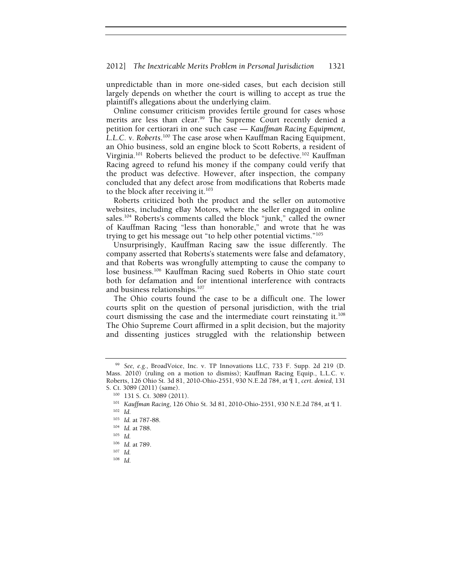#### 2012] *The Inextricable Merits Problem in Personal Jurisdiction* 1321

unpredictable than in more one-sided cases, but each decision still largely depends on whether the court is willing to accept as true the plaintiff's allegations about the underlying claim.

Online consumer criticism provides fertile ground for cases whose merits are less than clear.<sup>99</sup> The Supreme Court recently denied a petition for certiorari in one such case — *Kauffman Racing Equipment, L.L.C. v. Roberts*. 100 The case arose when Kauffman Racing Equipment, an Ohio business, sold an engine block to Scott Roberts, a resident of Virginia.<sup>101</sup> Roberts believed the product to be defective.<sup>102</sup> Kauffman Racing agreed to refund his money if the company could verify that the product was defective. However, after inspection, the company concluded that any defect arose from modifications that Roberts made to the block after receiving it. $103$ 

Roberts criticized both the product and the seller on automotive websites, including eBay Motors, where the seller engaged in online sales.<sup>104</sup> Roberts's comments called the block "junk," called the owner of Kauffman Racing "less than honorable," and wrote that he was trying to get his message out "to help other potential victims."105

Unsurprisingly, Kauffman Racing saw the issue differently. The company asserted that Roberts's statements were false and defamatory, and that Roberts was wrongfully attempting to cause the company to lose business.106 Kauffman Racing sued Roberts in Ohio state court both for defamation and for intentional interference with contracts and business relationships.<sup>107</sup>

The Ohio courts found the case to be a difficult one. The lower courts split on the question of personal jurisdiction, with the trial court dismissing the case and the intermediate court reinstating it.108 The Ohio Supreme Court affirmed in a split decision, but the majority and dissenting justices struggled with the relationship between

<sup>99</sup> *See, e.g.*, BroadVoice, Inc. v. TP Innovations LLC, 733 F. Supp. 2d 219 (D. Mass. 2010) (ruling on a motion to dismiss); Kauffman Racing Equip., L.L.C. v. Roberts, 126 Ohio St. 3d 81, 2010-Ohio-2551, 930 N.E.2d 784, at ¶ 1, *cert. denied*, 131

<sup>100 131</sup> S. Ct. 3089 (2011). *101 Kauffman Racing*, 126 Ohio St. 3d 81, 2010-Ohio-2551, 930 N.E.2d 784, at ¶ 1. <sup>102</sup> *Id* 

<sup>103</sup> *Id.* at 787-88. 104 *Id.* at 788. 105 *Id.* 

<sup>106</sup> *Id.* at 789. 107 *Id.*

<sup>108</sup> *Id.*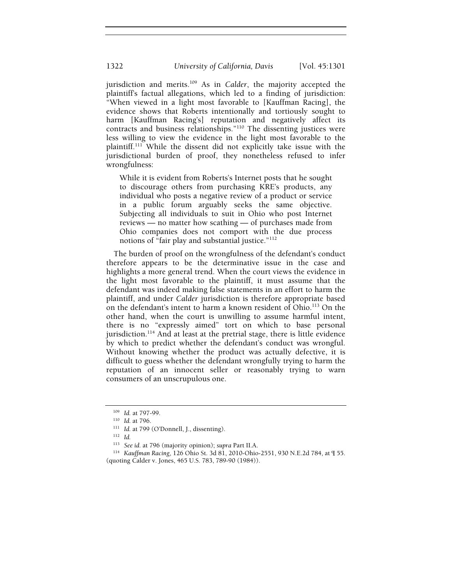jurisdiction and merits.109 As in *Calder*, the majority accepted the plaintiff's factual allegations, which led to a finding of jurisdiction: "When viewed in a light most favorable to [Kauffman Racing], the evidence shows that Roberts intentionally and tortiously sought to harm [Kauffman Racing's] reputation and negatively affect its contracts and business relationships."<sup>110</sup> The dissenting justices were less willing to view the evidence in the light most favorable to the plaintiff.111 While the dissent did not explicitly take issue with the jurisdictional burden of proof, they nonetheless refused to infer wrongfulness:

While it is evident from Roberts's Internet posts that he sought to discourage others from purchasing KRE's products, any individual who posts a negative review of a product or service in a public forum arguably seeks the same objective. Subjecting all individuals to suit in Ohio who post Internet reviews — no matter how scathing — of purchases made from Ohio companies does not comport with the due process notions of "fair play and substantial justice."<sup>112</sup>

The burden of proof on the wrongfulness of the defendant's conduct therefore appears to be the determinative issue in the case and highlights a more general trend. When the court views the evidence in the light most favorable to the plaintiff, it must assume that the defendant was indeed making false statements in an effort to harm the plaintiff, and under *Calder* jurisdiction is therefore appropriate based on the defendant's intent to harm a known resident of Ohio.<sup>113</sup> On the other hand, when the court is unwilling to assume harmful intent, there is no "expressly aimed" tort on which to base personal jurisdiction.<sup>114</sup> And at least at the pretrial stage, there is little evidence by which to predict whether the defendant's conduct was wrongful. Without knowing whether the product was actually defective, it is difficult to guess whether the defendant wrongfully trying to harm the reputation of an innocent seller or reasonably trying to warn consumers of an unscrupulous one.

<sup>109</sup> *Id.* at 797-99.<br>
110 *Id.* at 796.<br>
<sup>111</sup> *Id.* at 799 (O'Donnell, J., dissenting).<br>
<sup>112</sup> *Id.*<br>
<sup>113</sup> *See id.* at 796 (majority opinion); supra Part II.A.

<sup>&</sup>lt;sup>114</sup> *Kauffman Racing*, 126 Ohio St. 3d 81, 2010-Ohio-2551, 930 N.E.2d 784, at ¶ 55. (quoting Calder v. Jones, 465 U.S. 783, 789-90 (1984)).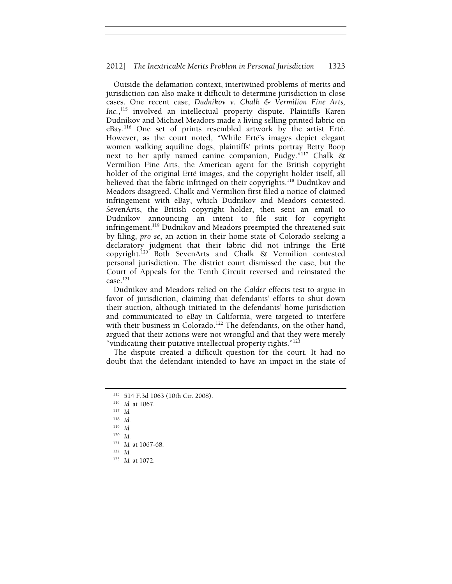Outside the defamation context, intertwined problems of merits and jurisdiction can also make it difficult to determine jurisdiction in close cases. One recent case, *Dudnikov v. Chalk & Vermilion Fine Arts, Inc.*, 115 involved an intellectual property dispute. Plaintiffs Karen Dudnikov and Michael Meadors made a living selling printed fabric on eBay.116 One set of prints resembled artwork by the artist Erté. However, as the court noted, "While Erté's images depict elegant women walking aquiline dogs, plaintiffs' prints portray Betty Boop next to her aptly named canine companion, Pudgy."117 Chalk & Vermilion Fine Arts, the American agent for the British copyright holder of the original Erté images, and the copyright holder itself, all believed that the fabric infringed on their copyrights.<sup>118</sup> Dudnikov and Meadors disagreed. Chalk and Vermilion first filed a notice of claimed infringement with eBay, which Dudnikov and Meadors contested. SevenArts, the British copyright holder, then sent an email to Dudnikov announcing an intent to file suit for copyright infringement.<sup>119</sup> Dudnikov and Meadors preempted the threatened suit by filing, *pro se*, an action in their home state of Colorado seeking a declaratory judgment that their fabric did not infringe the Erté copyright.120 Both SevenArts and Chalk & Vermilion contested personal jurisdiction. The district court dismissed the case, but the Court of Appeals for the Tenth Circuit reversed and reinstated the  $case.<sup>121</sup>$ 

Dudnikov and Meadors relied on the *Calder* effects test to argue in favor of jurisdiction, claiming that defendants' efforts to shut down their auction, although initiated in the defendants' home jurisdiction and communicated to eBay in California, were targeted to interfere with their business in Colorado.<sup>122</sup> The defendants, on the other hand, argued that their actions were not wrongful and that they were merely "vindicating their putative intellectual property rights."<sup>123</sup>

The dispute created a difficult question for the court. It had no doubt that the defendant intended to have an impact in the state of

<sup>115 514</sup> F.3d 1063 (10th Cir. 2008). 116 *Id.* at 1067. 117 *Id.*

 $\frac{118}{119}$  *Id.* 

<sup>119</sup> *Id.* 

<sup>120</sup> *Id.* 

<sup>121</sup> *Id.* at 1067-68. 122 *Id.* 

<sup>123</sup> *Id.* at 1072.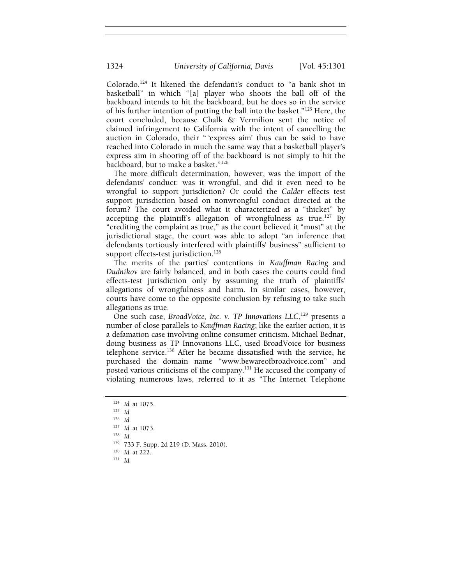Colorado.124 It likened the defendant's conduct to "a bank shot in basketball" in which "[a] player who shoots the ball off of the backboard intends to hit the backboard, but he does so in the service of his further intention of putting the ball into the basket."125 Here, the court concluded, because Chalk & Vermilion sent the notice of claimed infringement to California with the intent of cancelling the auction in Colorado, their " 'express aim' thus can be said to have reached into Colorado in much the same way that a basketball player's express aim in shooting off of the backboard is not simply to hit the backboard, but to make a basket."126

The more difficult determination, however, was the import of the defendants' conduct: was it wrongful, and did it even need to be wrongful to support jurisdiction? Or could the *Calder* effects test support jurisdiction based on nonwrongful conduct directed at the forum? The court avoided what it characterized as a "thicket" by accepting the plaintiff's allegation of wrongfulness as true.<sup>127</sup> By "crediting the complaint as true," as the court believed it "must" at the jurisdictional stage, the court was able to adopt "an inference that defendants tortiously interfered with plaintiffs' business" sufficient to support effects-test jurisdiction.<sup>128</sup>

The merits of the parties' contentions in *Kauffman Racing* and *Dudnikov* are fairly balanced, and in both cases the courts could find effects-test jurisdiction only by assuming the truth of plaintiffs' allegations of wrongfulness and harm. In similar cases, however, courts have come to the opposite conclusion by refusing to take such allegations as true.

One such case, *BroadVoice*, *Inc. v. TP Innovations LLC*,<sup>129</sup> presents a number of close parallels to *Kauffman Racing*; like the earlier action, it is a defamation case involving online consumer criticism. Michael Bednar, doing business as TP Innovations LLC, used BroadVoice for business telephone service.<sup>130</sup> After he became dissatisfied with the service, he purchased the domain name "www.bewareofbroadvoice.com" and posted various criticisms of the company.<sup>131</sup> He accused the company of violating numerous laws, referred to it as "The Internet Telephone

- 129 733 F. Supp. 2d 219 (D. Mass. 2010). 130 *Id.* at 222. 131 *Id.*
- 
- 

<sup>124</sup> *Id.* at 1075. 125 *Id.*

<sup>126</sup> *Id.* 

<sup>127</sup> *Id.* at 1073. 128 *Id.*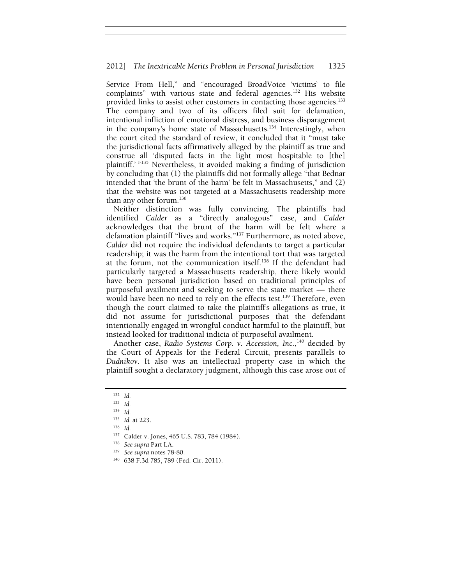Service From Hell," and "encouraged BroadVoice 'victims' to file complaints" with various state and federal agencies.<sup>132</sup> His website provided links to assist other customers in contacting those agencies.<sup>133</sup> The company and two of its officers filed suit for defamation, intentional infliction of emotional distress, and business disparagement in the company's home state of Massachusetts.<sup>134</sup> Interestingly, when the court cited the standard of review, it concluded that it "must take the jurisdictional facts affirmatively alleged by the plaintiff as true and construe all 'disputed facts in the light most hospitable to [the] plaintiff.' "<sup>135</sup> Nevertheless, it avoided making a finding of jurisdiction by concluding that (1) the plaintiffs did not formally allege "that Bednar intended that 'the brunt of the harm' be felt in Massachusetts," and (2) that the website was not targeted at a Massachusetts readership more than any other forum. $136$ 

Neither distinction was fully convincing. The plaintiffs had identified *Calder* as a "directly analogous" case, and *Calder*  acknowledges that the brunt of the harm will be felt where a defamation plaintiff "lives and works."137 Furthermore, as noted above, *Calder* did not require the individual defendants to target a particular readership; it was the harm from the intentional tort that was targeted at the forum, not the communication itself.<sup>138</sup> If the defendant had particularly targeted a Massachusetts readership, there likely would have been personal jurisdiction based on traditional principles of purposeful availment and seeking to serve the state market — there would have been no need to rely on the effects test.<sup>139</sup> Therefore, even though the court claimed to take the plaintiff's allegations as true, it did not assume for jurisdictional purposes that the defendant intentionally engaged in wrongful conduct harmful to the plaintiff, but instead looked for traditional indicia of purposeful availment.

Another case, Radio Systems Corp. v. Accession, Inc.,<sup>140</sup> decided by the Court of Appeals for the Federal Circuit, presents parallels to *Dudnikov*. It also was an intellectual property case in which the plaintiff sought a declaratory judgment, although this case arose out of

<sup>132</sup> *Id.* 

<sup>133</sup> *Id.* 

<sup>134</sup> *Id.* 

<sup>135</sup> *Id.* at 223. 136 *Id.* 

<sup>137</sup> Calder v. Jones, 465 U.S. 783, 784 (1984). 138 *See supra* Part I.A. 139 *See supra* notes 78-80. 140 638 F.3d 785, 789 (Fed. Cir. 2011).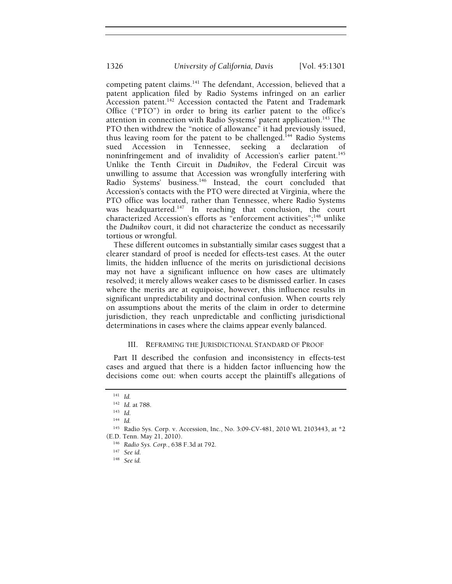competing patent claims.<sup>141</sup> The defendant, Accession, believed that a patent application filed by Radio Systems infringed on an earlier Accession patent.<sup>142</sup> Accession contacted the Patent and Trademark Office ("PTO") in order to bring its earlier patent to the office's attention in connection with Radio Systems' patent application.<sup>143</sup> The PTO then withdrew the "notice of allowance" it had previously issued, thus leaving room for the patent to be challenged.<sup>144</sup> Radio Systems sued Accession in Tennessee, seeking a declaration of noninfringement and of invalidity of Accession's earlier patent.<sup>145</sup> Unlike the Tenth Circuit in *Dudnikov*, the Federal Circuit was unwilling to assume that Accession was wrongfully interfering with Radio Systems' business.146 Instead, the court concluded that Accession's contacts with the PTO were directed at Virginia, where the PTO office was located, rather than Tennessee, where Radio Systems was headquartered.<sup>147</sup> In reaching that conclusion, the court characterized Accession's efforts as "enforcement activities";<sup>148</sup> unlike the *Dudnikov* court, it did not characterize the conduct as necessarily tortious or wrongful.

These different outcomes in substantially similar cases suggest that a clearer standard of proof is needed for effects-test cases. At the outer limits, the hidden influence of the merits on jurisdictional decisions may not have a significant influence on how cases are ultimately resolved; it merely allows weaker cases to be dismissed earlier. In cases where the merits are at equipoise, however, this influence results in significant unpredictability and doctrinal confusion. When courts rely on assumptions about the merits of the claim in order to determine jurisdiction, they reach unpredictable and conflicting jurisdictional determinations in cases where the claims appear evenly balanced.

# III. REFRAMING THE JURISDICTIONAL STANDARD OF PROOF

Part II described the confusion and inconsistency in effects-test cases and argued that there is a hidden factor influencing how the decisions come out: when courts accept the plaintiff's allegations of

<sup>141</sup> *Id.*<sup>142</sup> *Id.* at 788. 143 *Id.* 

<sup>144</sup> *Id.*

<sup>145</sup> Radio Sys. Corp. v. Accession, Inc., No. 3:09-CV-481, 2010 WL 2103443, at \*2

<sup>(</sup>E.D. Tenn. May 21, 2010). 146 *Radio Sys. Corp.*, 638 F.3d at 792. 147 *See id.*

<sup>148</sup> *See id.*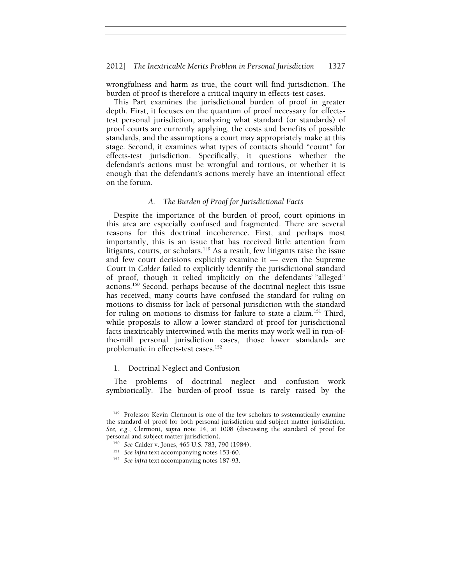#### 2012] *The Inextricable Merits Problem in Personal Jurisdiction* 1327

wrongfulness and harm as true, the court will find jurisdiction. The burden of proof is therefore a critical inquiry in effects-test cases.

This Part examines the jurisdictional burden of proof in greater depth. First, it focuses on the quantum of proof necessary for effectstest personal jurisdiction, analyzing what standard (or standards) of proof courts are currently applying, the costs and benefits of possible standards, and the assumptions a court may appropriately make at this stage. Second, it examines what types of contacts should "count" for effects-test jurisdiction. Specifically, it questions whether the defendant's actions must be wrongful and tortious, or whether it is enough that the defendant's actions merely have an intentional effect on the forum.

## *A. The Burden of Proof for Jurisdictional Facts*

Despite the importance of the burden of proof, court opinions in this area are especially confused and fragmented. There are several reasons for this doctrinal incoherence. First, and perhaps most importantly, this is an issue that has received little attention from litigants, courts, or scholars. $149$  As a result, few litigants raise the issue and few court decisions explicitly examine it — even the Supreme Court in *Calder* failed to explicitly identify the jurisdictional standard of proof, though it relied implicitly on the defendants' "alleged" actions.150 Second, perhaps because of the doctrinal neglect this issue has received, many courts have confused the standard for ruling on motions to dismiss for lack of personal jurisdiction with the standard for ruling on motions to dismiss for failure to state a claim.<sup>151</sup> Third, while proposals to allow a lower standard of proof for jurisdictional facts inextricably intertwined with the merits may work well in run-ofthe-mill personal jurisdiction cases, those lower standards are problematic in effects-test cases.<sup>152</sup>

### 1. Doctrinal Neglect and Confusion

The problems of doctrinal neglect and confusion work symbiotically. The burden-of-proof issue is rarely raised by the

<sup>&</sup>lt;sup>149</sup> Professor Kevin Clermont is one of the few scholars to systematically examine the standard of proof for both personal jurisdiction and subject matter jurisdiction. *See, e.g.*, Clermont, *supra* note 14, at 1008 (discussing the standard of proof for personal and subject matter jurisdiction). 150 *See* Calder v. Jones, 465 U.S. 783, 790 (1984). 151 *See infra* text accompanying notes 153-60. 152 *See infra* text accompanying notes 187-93.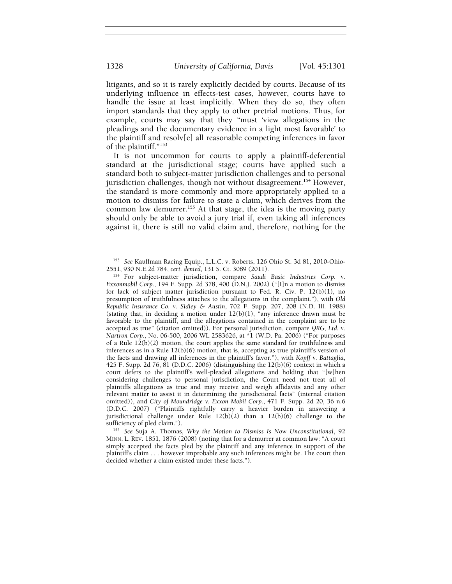litigants, and so it is rarely explicitly decided by courts. Because of its underlying influence in effects-test cases, however, courts have to handle the issue at least implicitly. When they do so, they often import standards that they apply to other pretrial motions. Thus, for example, courts may say that they "must 'view allegations in the pleadings and the documentary evidence in a light most favorable' to the plaintiff and resolv[e] all reasonable competing inferences in favor of the plaintiff."153

It is not uncommon for courts to apply a plaintiff-deferential standard at the jurisdictional stage; courts have applied such a standard both to subject-matter jurisdiction challenges and to personal jurisdiction challenges, though not without disagreement.<sup>154</sup> However, the standard is more commonly and more appropriately applied to a motion to dismiss for failure to state a claim, which derives from the common law demurrer.<sup>155</sup> At that stage, the idea is the moving party should only be able to avoid a jury trial if, even taking all inferences against it, there is still no valid claim and, therefore, nothing for the

<sup>&</sup>lt;sup>153</sup> *See* Kauffman Racing Equip., L.L.C. v. Roberts, 126 Ohio St. 3d 81, 2010-Ohio-2551, 930 N.E.2d 784, *cert. denied*, 131 S. Ct. 3089 (2011).

<sup>&</sup>lt;sup>154</sup> For subject-matter jurisdiction, compare Saudi Basic Industries Corp. v. *Exxonmobil Corp.*, 194 F. Supp. 2d 378, 400 (D.N.J. 2002) ("[I]n a motion to dismiss for lack of subject matter jurisdiction pursuant to Fed. R. Civ. P. 12(b)(1), no presumption of truthfulness attaches to the allegations in the complaint."), with *Old Republic Insurance Co. v. Sidley & Austin*, 702 F. Supp. 207, 208 (N.D. Ill. 1988) (stating that, in deciding a motion under  $12(b)(1)$ , "any inference drawn must be favorable to the plaintiff, and the allegations contained in the complaint are to be accepted as true" (citation omitted)). For personal jurisdiction, compare *QRG, Ltd. v. Nartron Corp.*, No. 06-500, 2006 WL 2583626, at \*1 (W.D. Pa. 2006) ("For purposes of a Rule  $12(b)(2)$  motion, the court applies the same standard for truthfulness and inferences as in a Rule  $12(b)(6)$  motion, that is, accepting as true plaintiff's version of the facts and drawing all inferences in the plaintiff's favor."), with *Kopff v. Battaglia*, 425 F. Supp. 2d 76, 81 (D.D.C. 2006) (distinguishing the 12(b)(6) context in which a court defers to the plaintiff's well-pleaded allegations and holding that "[w]hen considering challenges to personal jurisdiction, the Court need not treat all of plaintiffs allegations as true and may receive and weigh affidavits and any other relevant matter to assist it in determining the jurisdictional facts" (internal citation omitted)), and *City of Moundridge v. Exxon Mobil Corp.*, 471 F. Supp. 2d 20, 36 n.6 (D.D.C. 2007) ("Plaintiffs rightfully carry a heavier burden in answering a jurisdictional challenge under Rule  $12(b)(2)$  than a  $12(b)(6)$  challenge to the sufficiency of pled claim.").

<sup>&</sup>lt;sup>155</sup> See Suja A. Thomas, *Why the Motion to Dismiss Is Now Unconstitutional*, 92 MINN. L. REV. 1851, 1876 (2008) (noting that for a demurrer at common law: "A court simply accepted the facts pled by the plaintiff and any inference in support of the plaintiff's claim . . . however improbable any such inferences might be. The court then decided whether a claim existed under these facts.").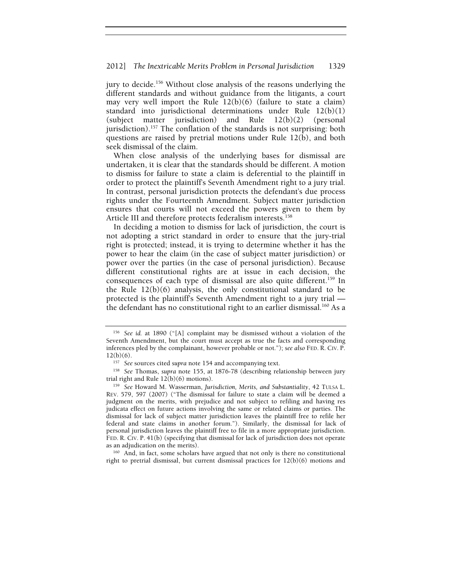jury to decide.<sup>156</sup> Without close analysis of the reasons underlying the different standards and without guidance from the litigants, a court may very well import the Rule 12(b)(6) (failure to state a claim) standard into jurisdictional determinations under Rule 12(b)(1) (subject matter jurisdiction) and Rule 12(b)(2) (personal jurisdiction).<sup>157</sup> The conflation of the standards is not surprising: both questions are raised by pretrial motions under Rule 12(b), and both seek dismissal of the claim.

When close analysis of the underlying bases for dismissal are undertaken, it is clear that the standards should be different. A motion to dismiss for failure to state a claim is deferential to the plaintiff in order to protect the plaintiff's Seventh Amendment right to a jury trial. In contrast, personal jurisdiction protects the defendant's due process rights under the Fourteenth Amendment. Subject matter jurisdiction ensures that courts will not exceed the powers given to them by Article III and therefore protects federalism interests.<sup>158</sup>

In deciding a motion to dismiss for lack of jurisdiction, the court is not adopting a strict standard in order to ensure that the jury-trial right is protected; instead, it is trying to determine whether it has the power to hear the claim (in the case of subject matter jurisdiction) or power over the parties (in the case of personal jurisdiction). Because different constitutional rights are at issue in each decision, the consequences of each type of dismissal are also quite different.<sup>159</sup> In the Rule 12(b)(6) analysis, the only constitutional standard to be protected is the plaintiff's Seventh Amendment right to a jury trial the defendant has no constitutional right to an earlier dismissal.<sup>160</sup> As a

<sup>156</sup> *See id.* at 1890 ("[A] complaint may be dismissed without a violation of the Seventh Amendment, but the court must accept as true the facts and corresponding inferences pled by the complainant, however probable or not."); *see also* FED. R. CIV. P. 12(b)(6).

<sup>12(</sup>b)(6). 157 *See* sources cited *supra* note 154 and accompanying text. 158 *See* Thomas, *supra* note 155, at 1876-78 (describing relationship between jury trial right and Rule 12(b)(6) motions). 159 *See* Howard M. Wasserman, *Jurisdiction, Merits, and Substantiality*, 42 TULSA L.

REV. 579, 597 (2007) ("The dismissal for failure to state a claim will be deemed a judgment on the merits, with prejudice and not subject to refiling and having res judicata effect on future actions involving the same or related claims or parties. The dismissal for lack of subject matter jurisdiction leaves the plaintiff free to refile her federal and state claims in another forum."). Similarly, the dismissal for lack of personal jurisdiction leaves the plaintiff free to file in a more appropriate jurisdiction. FED. R. CIV. P. 41(b) (specifying that dismissal for lack of jurisdiction does not operate as an adjudication on the merits).

 $160$  And, in fact, some scholars have argued that not only is there no constitutional right to pretrial dismissal, but current dismissal practices for 12(b)(6) motions and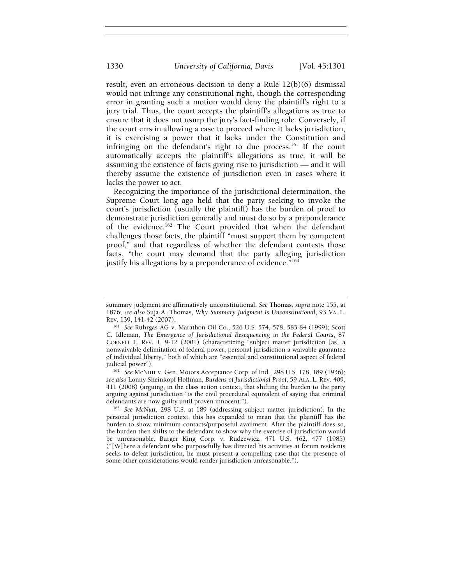result, even an erroneous decision to deny a Rule 12(b)(6) dismissal would not infringe any constitutional right, though the corresponding error in granting such a motion would deny the plaintiff's right to a jury trial. Thus, the court accepts the plaintiff's allegations as true to ensure that it does not usurp the jury's fact-finding role. Conversely, if the court errs in allowing a case to proceed where it lacks jurisdiction, it is exercising a power that it lacks under the Constitution and infringing on the defendant's right to due process.<sup>161</sup> If the court automatically accepts the plaintiff's allegations as true, it will be assuming the existence of facts giving rise to jurisdiction — and it will thereby assume the existence of jurisdiction even in cases where it lacks the power to act.

Recognizing the importance of the jurisdictional determination, the Supreme Court long ago held that the party seeking to invoke the court's jurisdiction (usually the plaintiff) has the burden of proof to demonstrate jurisdiction generally and must do so by a preponderance of the evidence.162 The Court provided that when the defendant challenges those facts, the plaintiff "must support them by competent proof," and that regardless of whether the defendant contests those facts, "the court may demand that the party alleging jurisdiction justify his allegations by a preponderance of evidence."<sup>163</sup>

<sup>162</sup> *See* McNutt v. Gen. Motors Acceptance Corp. of Ind., 298 U.S. 178, 189 (1936); *see also* Lonny Sheinkopf Hoffman, *Burdens of Jurisdictional Proof*, 59 ALA. L. REV. 409, 411 (2008) (arguing, in the class action context, that shifting the burden to the party arguing against jurisdiction "is the civil procedural equivalent of saying that criminal defendants are now guilty until proven innocent.").

<sup>163</sup> See McNutt, 298 U.S. at 189 (addressing subject matter jurisdiction). In the personal jurisdiction context, this has expanded to mean that the plaintiff has the burden to show minimum contacts/purposeful availment. After the plaintiff does so, the burden then shifts to the defendant to show why the exercise of jurisdiction would be unreasonable. Burger King Corp. v. Rudzewicz, 471 U.S. 462, 477 (1985) ("[W]here a defendant who purposefully has directed his activities at forum residents seeks to defeat jurisdiction, he must present a compelling case that the presence of some other considerations would render jurisdiction unreasonable.").

summary judgment are affirmatively unconstitutional. *See* Thomas, *supra* note 155, at 1876; *see also* Suja A. Thomas, *Why Summary Judgment Is Unconstitutional*, 93 VA. L. REV. 139, 141-42 (2007).

<sup>161</sup> *See* Ruhrgas AG v. Marathon Oil Co., 526 U.S. 574, 578, 583-84 (1999); Scott C. Idleman, *The Emergence of Jurisdictional Resequencing in the Federal Courts*, 87 CORNELL L. REV. 1, 9-12 (2001) (characterizing "subject matter jurisdiction [as] a nonwaivable delimitation of federal power, personal jurisdiction a waivable guarantee of individual liberty," both of which are "essential and constitutional aspect of federal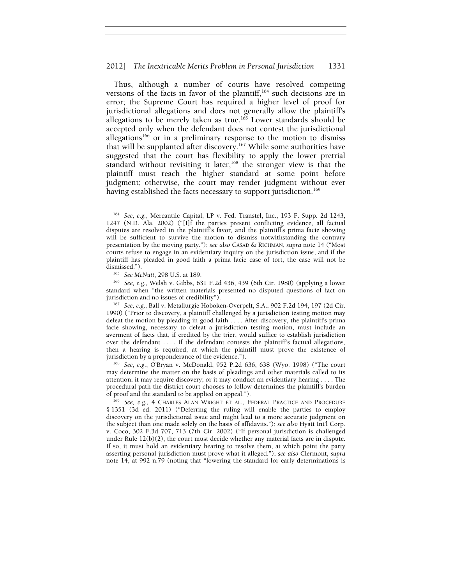Thus, although a number of courts have resolved competing versions of the facts in favor of the plaintiff,<sup>164</sup> such decisions are in error; the Supreme Court has required a higher level of proof for jurisdictional allegations and does not generally allow the plaintiff's allegations to be merely taken as true.<sup>165</sup> Lower standards should be accepted only when the defendant does not contest the jurisdictional allegations<sup>166</sup> or in a preliminary response to the motion to dismiss that will be supplanted after discovery.<sup>167</sup> While some authorities have suggested that the court has flexibility to apply the lower pretrial standard without revisiting it later,<sup>168</sup> the stronger view is that the plaintiff must reach the higher standard at some point before judgment; otherwise, the court may render judgment without ever having established the facts necessary to support jurisdiction.<sup>169</sup>

<sup>165</sup> *See McNutt*, 298 U.S. at 189. 166 *See, e.g.*, Welsh v. Gibbs, 631 F.2d 436, 439 (6th Cir. 1980) (applying a lower standard when "the written materials presented no disputed questions of fact on jurisdiction and no issues of credibility"). 167 *See, e.g.*, Ball v. Metallurgie Hoboken-Overpelt, S.A., 902 F.2d 194, 197 (2d Cir.

1990) ("Prior to discovery, a plaintiff challenged by a jurisdiction testing motion may defeat the motion by pleading in good faith . . . . After discovery, the plaintiff's prima facie showing, necessary to defeat a jurisdiction testing motion, must include an averment of facts that, if credited by the trier, would suffice to establish jurisdiction over the defendant .... If the defendant contests the plaintiff's factual allegations, then a hearing is required, at which the plaintiff must prove the existence of jurisdiction by a preponderance of the evidence."). 168 *See, e.g.*, O'Bryan v. McDonald, 952 P.2d 636, 638 (Wyo. 1998) ("The court

may determine the matter on the basis of pleadings and other materials called to its attention; it may require discovery; or it may conduct an evidentiary hearing . . . . The procedural path the district court chooses to follow determines the plaintiff's burden of proof and the standard to be applied on appeal.").

<sup>169</sup> See, e.g., 4 CHARLES ALAN WRIGHT ET AL., FEDERAL PRACTICE AND PROCEDURE § 1351 (3d ed. 2011) ("Deferring the ruling will enable the parties to employ discovery on the jurisdictional issue and might lead to a more accurate judgment on the subject than one made solely on the basis of affidavits."); *see also* Hyatt Int'l Corp. v. Coco, 302 F.3d 707, 713 (7th Cir. 2002) ("If personal jurisdiction is challenged under Rule  $12(b)(2)$ , the court must decide whether any material facts are in dispute. If so, it must hold an evidentiary hearing to resolve them, at which point the party asserting personal jurisdiction must prove what it alleged."); *see also* Clermont, *supra*  note 14, at 992 n.79 (noting that "lowering the standard for early determinations is

<sup>164</sup> *See, e.g.*, Mercantile Capital, LP v. Fed. Transtel, Inc., 193 F. Supp. 2d 1243, 1247 (N.D. Ala. 2002) ("[I]f the parties present conflicting evidence, all factual disputes are resolved in the plaintiff's favor, and the plaintiff's prima facie showing will be sufficient to survive the motion to dismiss notwithstanding the contrary presentation by the moving party."); *see also* CASAD & RICHMAN, *supra* note 14 ("Most courts refuse to engage in an evidentiary inquiry on the jurisdiction issue, and if the plaintiff has pleaded in good faith a prima facie case of tort, the case will not be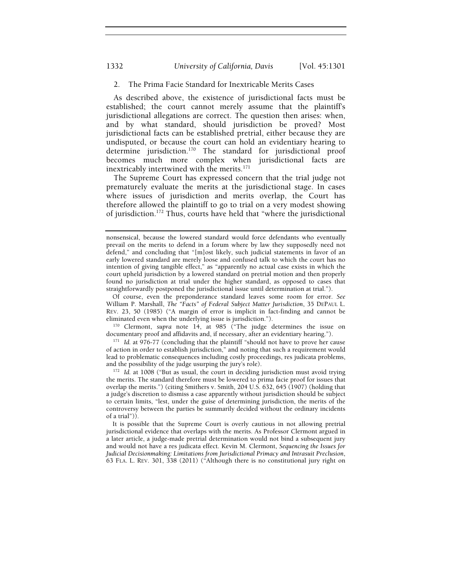## 2. The Prima Facie Standard for Inextricable Merits Cases

As described above, the existence of jurisdictional facts must be established; the court cannot merely assume that the plaintiff's jurisdictional allegations are correct. The question then arises: when, and by what standard, should jurisdiction be proved? Most jurisdictional facts can be established pretrial, either because they are undisputed, or because the court can hold an evidentiary hearing to determine jurisdiction.<sup>170</sup> The standard for jurisdictional proof becomes much more complex when jurisdictional facts are inextricably intertwined with the merits.<sup>171</sup>

The Supreme Court has expressed concern that the trial judge not prematurely evaluate the merits at the jurisdictional stage. In cases where issues of jurisdiction and merits overlap, the Court has therefore allowed the plaintiff to go to trial on a very modest showing of jurisdiction.172 Thus, courts have held that "where the jurisdictional

Of course, even the preponderance standard leaves some room for error. *See*  William P. Marshall, *The "Facts" of Federal Subject Matter Jurisdiction*, 35 DEPAUL L. REV. 23, 50 (1985) ("A margin of error is implicit in fact-finding and cannot be eliminated even when the underlying issue is jurisdiction."). 170 Clermont, *supra* note 14, at 985 ("The judge determines the issue on

documentary proof and affidavits and, if necessary, after an evidentiary hearing."). 171 *Id.* at 976-77 (concluding that the plaintiff "should not have to prove her cause

of action in order to establish jurisdiction," and noting that such a requirement would lead to problematic consequences including costly proceedings, res judicata problems,

<sup>172</sup> Id. at 1008 ("But as usual, the court in deciding jurisdiction must avoid trying the merits. The standard therefore must be lowered to prima facie proof for issues that overlap the merits.") (citing Smithers v. Smith, 204 U.S. 632, 645 (1907) (holding that a judge's discretion to dismiss a case apparently without jurisdiction should be subject to certain limits, "lest, under the guise of determining jurisdiction, the merits of the controversy between the parties be summarily decided without the ordinary incidents of a trial")).

It is possible that the Supreme Court is overly cautious in not allowing pretrial jurisdictional evidence that overlaps with the merits. As Professor Clermont argued in a later article, a judge-made pretrial determination would not bind a subsequent jury and would not have a res judicata effect. Kevin M. Clermont, *Sequencing the Issues for Judicial Decisionmaking: Limitations from Jurisdictional Primacy and Intrasuit Preclusion*, 63 FLA. L. REV. 301, 338 (2011) ("Although there is no constitutional jury right on

nonsensical, because the lowered standard would force defendants who eventually prevail on the merits to defend in a forum where by law they supposedly need not defend," and concluding that "[m]ost likely, such judicial statements in favor of an early lowered standard are merely loose and confused talk to which the court has no intention of giving tangible effect," as "apparently no actual case exists in which the court upheld jurisdiction by a lowered standard on pretrial motion and then properly found no jurisdiction at trial under the higher standard, as opposed to cases that straightforwardly postponed the jurisdictional issue until determination at trial.").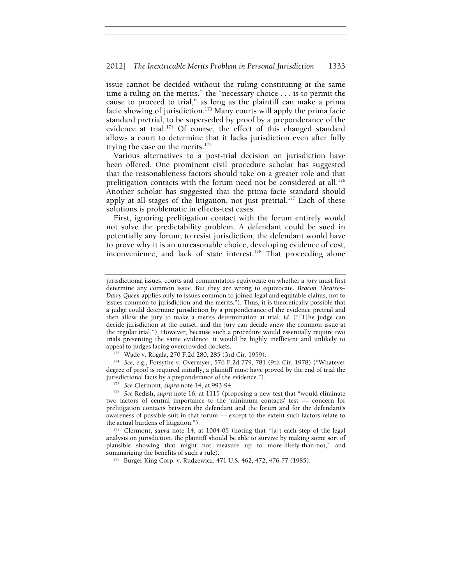issue cannot be decided without the ruling constituting at the same time a ruling on the merits," the "necessary choice . . . is to permit the cause to proceed to trial," as long as the plaintiff can make a prima facie showing of jurisdiction.<sup>173</sup> Many courts will apply the prima facie standard pretrial, to be superseded by proof by a preponderance of the evidence at trial.<sup>174</sup> Of course, the effect of this changed standard allows a court to determine that it lacks jurisdiction even after fully trying the case on the merits. $175$ 

Various alternatives to a post-trial decision on jurisdiction have been offered. One prominent civil procedure scholar has suggested that the reasonableness factors should take on a greater role and that prelitigation contacts with the forum need not be considered at all.<sup>176</sup> Another scholar has suggested that the prima facie standard should apply at all stages of the litigation, not just pretrial.<sup>177</sup> Each of these solutions is problematic in effects-test cases.

First, ignoring prelitigation contact with the forum entirely would not solve the predictability problem. A defendant could be sued in potentially any forum; to resist jurisdiction, the defendant would have to prove why it is an unreasonable choice, developing evidence of cost, inconvenience, and lack of state interest.<sup>178</sup> That proceeding alone

jurisdictional issues, courts and commentators equivocate on whether a jury must first determine any common issue. But they are wrong to equivocate. *Beacon Theatres*– *Dairy Queen* applies only to issues common to joined legal and equitable claims, not to issues common to jurisdiction and the merits."). Thus, it is theoretically possible that a judge could determine jurisdiction by a preponderance of the evidence pretrial and then allow the jury to make a merits determination at trial. *Id.* ("[T]he judge can decide jurisdiction at the outset, and the jury can decide anew the common issue at the regular trial."). However, because such a procedure would essentially require two trials presenting the same evidence, it would be highly inefficient and unlikely to

<sup>&</sup>lt;sup>173</sup> Wade v. Rogala, 270 F.2d 280, 285 (3rd Cir. 1959).<br><sup>174</sup> *See, e.g.*, Forsythe v. Overmyer, 576 F.2d 779, 781 (9th Cir. 1978) ("Whatever degree of proof is required initially, a plaintiff must have proved by the end of trial the jurisdictional facts by a preponderance of the evidence.").

<sup>&</sup>lt;sup>175</sup> *See* Clermont, *supra* note 14, at 993-94.<br><sup>176</sup> *See* Redish, *supra* note 16, at 1115 (proposing a new test that "would eliminate two factors of central importance to the 'minimum contacts' test — concern for prelitigation contacts between the defendant and the forum and for the defendant's awareness of possible suit in that forum — except to the extent such factors relate to

<sup>177</sup> Clermont, *supra* note 14, at 1004-05 (noting that "[a]t each step of the legal analysis on jurisdiction, the plaintiff should be able to survive by making some sort of plausible showing that might not measure up to more-likely-than-not," and summarizing the benefits of such a rule).<br><sup>178</sup> Burger King Corp. v. Rudzewicz, 471 U.S. 462, 472, 476-77 (1985).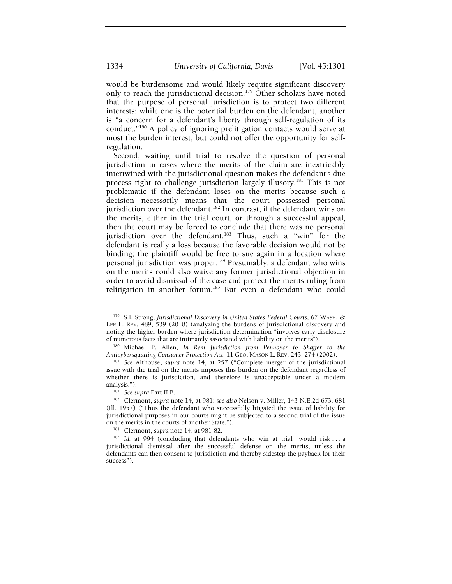would be burdensome and would likely require significant discovery only to reach the jurisdictional decision.<sup>179</sup> Other scholars have noted that the purpose of personal jurisdiction is to protect two different interests: while one is the potential burden on the defendant, another is "a concern for a defendant's liberty through self-regulation of its conduct."180 A policy of ignoring prelitigation contacts would serve at most the burden interest, but could not offer the opportunity for selfregulation.

Second, waiting until trial to resolve the question of personal jurisdiction in cases where the merits of the claim are inextricably intertwined with the jurisdictional question makes the defendant's due process right to challenge jurisdiction largely illusory.<sup>181</sup> This is not problematic if the defendant loses on the merits because such a decision necessarily means that the court possessed personal jurisdiction over the defendant.<sup>182</sup> In contrast, if the defendant wins on the merits, either in the trial court, or through a successful appeal, then the court may be forced to conclude that there was no personal jurisdiction over the defendant.<sup>183</sup> Thus, such a "win" for the defendant is really a loss because the favorable decision would not be binding; the plaintiff would be free to sue again in a location where personal jurisdiction was proper.<sup>184</sup> Presumably, a defendant who wins on the merits could also waive any former jurisdictional objection in order to avoid dismissal of the case and protect the merits ruling from relitigation in another forum.<sup>185</sup> But even a defendant who could

<sup>179</sup> S.I. Strong, *Jurisdictional Discovery in United States Federal Courts*, 67 WASH. & LEE L. REV. 489, 539 (2010) (analyzing the burdens of jurisdictional discovery and noting the higher burden where jurisdiction determination "involves early disclosure

of numerous facts that are intimately associated with liability on the merits"). 180 Michael P. Allen, *In Rem Jurisdiction from Pennoyer to Shaffer to the* 

<sup>&</sup>lt;sup>181</sup> See Althouse, *supra* note 14, at 257 ("Complete merger of the jurisdictional issue with the trial on the merits imposes this burden on the defendant regardless of whether there is jurisdiction, and therefore is unacceptable under a modern

analysis."). 182 *See supra* Part II.B. 183 Clermont, *supra* note 14, at 981; *see also* Nelson v. Miller, 143 N.E.2d 673, 681 (Ill. 1957) ("Thus the defendant who successfully litigated the issue of liability for jurisdictional purposes in our courts might be subjected to a second trial of the issue on the merits in the courts of another State.").

<sup>184</sup> Clermont, *supra* note 14, at 981-82.

<sup>&</sup>lt;sup>185</sup> Id. at 994 (concluding that defendants who win at trial "would risk ... a jurisdictional dismissal after the successful defense on the merits, unless the defendants can then consent to jurisdiction and thereby sidestep the payback for their success").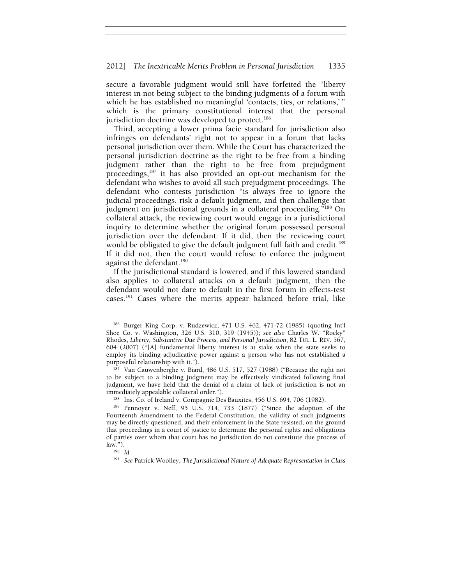secure a favorable judgment would still have forfeited the "liberty interest in not being subject to the binding judgments of a forum with which he has established no meaningful 'contacts, ties, or relations,' " which is the primary constitutional interest that the personal jurisdiction doctrine was developed to protect.<sup>186</sup>

Third, accepting a lower prima facie standard for jurisdiction also infringes on defendants' right not to appear in a forum that lacks personal jurisdiction over them. While the Court has characterized the personal jurisdiction doctrine as the right to be free from a binding judgment rather than the right to be free from prejudgment proceedings,187 it has also provided an opt-out mechanism for the defendant who wishes to avoid all such prejudgment proceedings. The defendant who contests jurisdiction "is always free to ignore the judicial proceedings, risk a default judgment, and then challenge that judgment on jurisdictional grounds in a collateral proceeding."<sup>188</sup> On collateral attack, the reviewing court would engage in a jurisdictional inquiry to determine whether the original forum possessed personal jurisdiction over the defendant. If it did, then the reviewing court would be obligated to give the default judgment full faith and credit.<sup>189</sup> If it did not, then the court would refuse to enforce the judgment against the defendant.<sup>190</sup>

If the jurisdictional standard is lowered, and if this lowered standard also applies to collateral attacks on a default judgment, then the defendant would not dare to default in the first forum in effects-test cases.191 Cases where the merits appear balanced before trial, like

<sup>186</sup> Burger King Corp. v. Rudzewicz, 471 U.S. 462, 471-72 (1985) (quoting Int'l Shoe Co. v. Washington, 326 U.S. 310, 319 (1945)); *see also* Charles W. "Rocky" Rhodes, *Liberty, Substantive Due Process, and Personal Jurisdiction*, 82 TUL. L. REV. 567, 604 (2007) ("[A] fundamental liberty interest is at stake when the state seeks to employ its binding adjudicative power against a person who has not established a purposeful relationship with it.").

<sup>&</sup>lt;sup>187</sup> Van Cauwenberghe v. Biard, 486 U.S. 517, 527 (1988) ("Because the right not to be subject to a binding judgment may be effectively vindicated following final judgment, we have held that the denial of a claim of lack of jurisdiction is not an immediately appealable collateral order.").<br><sup>188</sup> Ins. Co. of Ireland v. Compagnie Des Bauxites, 456 U.S. 694, 706 (1982).<br><sup>189</sup> Pennoyer v. Neff, 95 U.S. 714, 733 (1877) ("Since the adoption of the

Fourteenth Amendment to the Federal Constitution, the validity of such judgments may be directly questioned, and their enforcement in the State resisted, on the ground that proceedings in a court of justice to determine the personal rights and obligations of parties over whom that court has no jurisdiction do not constitute due process of  $\lim_{190}$  *Id.* 

<sup>191</sup> *See* Patrick Woolley, *The Jurisdictional Nature of Adequate Representation in Class*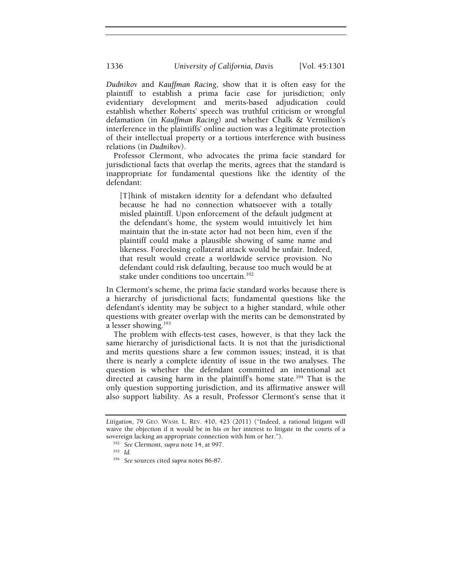*Dudnikov* and *Kauffman Racing*, show that it is often easy for the plaintiff to establish a prima facie case for jurisdiction; only evidentiary development and merits-based adjudication could establish whether Roberts' speech was truthful criticism or wrongful defamation (in *Kauffman Racing*) and whether Chalk & Vermilion's interference in the plaintiffs' online auction was a legitimate protection of their intellectual property or a tortious interference with business relations (in *Dudnikov*).

Professor Clermont, who advocates the prima facie standard for jurisdictional facts that overlap the merits, agrees that the standard is inappropriate for fundamental questions like the identity of the defendant:

[T]hink of mistaken identity for a defendant who defaulted because he had no connection whatsoever with a totally misled plaintiff. Upon enforcement of the default judgment at the defendant's home, the system would intuitively let him maintain that the in-state actor had not been him, even if the plaintiff could make a plausible showing of same name and likeness. Foreclosing collateral attack would be unfair. Indeed, that result would create a worldwide service provision. No defendant could risk defaulting, because too much would be at stake under conditions too uncertain.<sup>192</sup>

In Clermont's scheme, the prima facie standard works because there is a hierarchy of jurisdictional facts; fundamental questions like the defendant's identity may be subject to a higher standard, while other questions with greater overlap with the merits can be demonstrated by a lesser showing.193

The problem with effects-test cases, however, is that they lack the same hierarchy of jurisdictional facts. It is not that the jurisdictional and merits questions share a few common issues; instead, it is that there is nearly a complete identity of issue in the two analyses. The question is whether the defendant committed an intentional act directed at causing harm in the plaintiff's home state.<sup>194</sup> That is the only question supporting jurisdiction, and its affirmative answer will also support liability. As a result, Professor Clermont's sense that it

*Litigation*, 79 GEO. WASH. L. REV. 410, 423 (2011) ("Indeed, a rational litigant will waive the objection if it would be in his or her interest to litigate in the courts of a sovereign lacking an appropriate connection with him or her.").

<sup>192</sup> *See* Clermont, *supra* note 14, at 997. 193 *Id.* 

<sup>194</sup> *See* sources cited *supra* notes 86-87.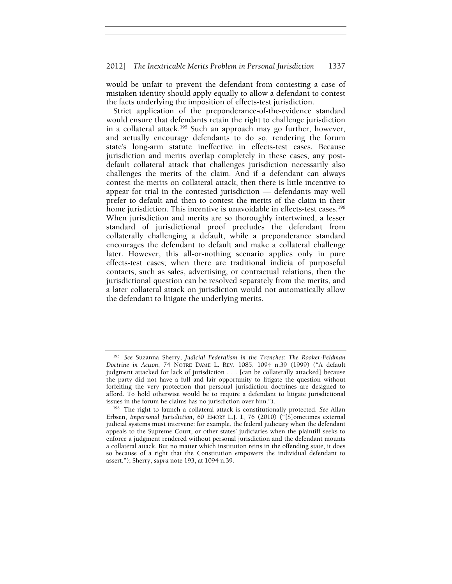## 2012] *The Inextricable Merits Problem in Personal Jurisdiction* 1337

would be unfair to prevent the defendant from contesting a case of mistaken identity should apply equally to allow a defendant to contest the facts underlying the imposition of effects-test jurisdiction.

Strict application of the preponderance-of-the-evidence standard would ensure that defendants retain the right to challenge jurisdiction in a collateral attack.<sup>195</sup> Such an approach may go further, however, and actually encourage defendants to do so, rendering the forum state's long-arm statute ineffective in effects-test cases. Because jurisdiction and merits overlap completely in these cases, any postdefault collateral attack that challenges jurisdiction necessarily also challenges the merits of the claim. And if a defendant can always contest the merits on collateral attack, then there is little incentive to appear for trial in the contested jurisdiction — defendants may well prefer to default and then to contest the merits of the claim in their home jurisdiction. This incentive is unavoidable in effects-test cases.<sup>196</sup> When jurisdiction and merits are so thoroughly intertwined, a lesser standard of jurisdictional proof precludes the defendant from collaterally challenging a default, while a preponderance standard encourages the defendant to default and make a collateral challenge later. However, this all-or-nothing scenario applies only in pure effects-test cases; when there are traditional indicia of purposeful contacts, such as sales, advertising, or contractual relations, then the jurisdictional question can be resolved separately from the merits, and a later collateral attack on jurisdiction would not automatically allow the defendant to litigate the underlying merits.

<sup>195</sup> *See* Suzanna Sherry, *Judicial Federalism in the Trenches: The Rooker-Feldman Doctrine in Action*, 74 NOTRE DAME L. REV. 1085, 1094 n.39 (1999) ("A default judgment attacked for lack of jurisdiction . . . [can be collaterally attacked] because the party did not have a full and fair opportunity to litigate the question without forfeiting the very protection that personal jurisdiction doctrines are designed to afford. To hold otherwise would be to require a defendant to litigate jurisdictional issues in the forum he claims has no jurisdiction over him.").

<sup>&</sup>lt;sup>196</sup> The right to launch a collateral attack is constitutionally protected. *See* Allan Erbsen, *Impersonal Jurisdiction*, 60 EMORY L.J. 1, 76 (2010) ("[S]ometimes external judicial systems must intervene: for example, the federal judiciary when the defendant appeals to the Supreme Court, or other states' judiciaries when the plaintiff seeks to enforce a judgment rendered without personal jurisdiction and the defendant mounts a collateral attack. But no matter which institution reins in the offending state, it does so because of a right that the Constitution empowers the individual defendant to assert."); Sherry, *supra* note 193, at 1094 n.39.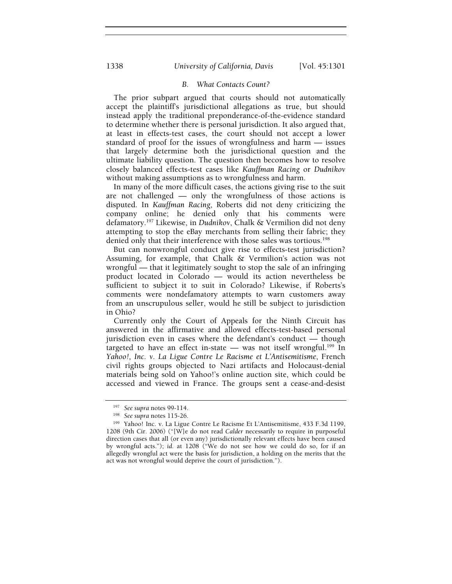## *B. What Contacts Count?*

The prior subpart argued that courts should not automatically accept the plaintiff's jurisdictional allegations as true, but should instead apply the traditional preponderance-of-the-evidence standard to determine whether there is personal jurisdiction. It also argued that, at least in effects-test cases, the court should not accept a lower standard of proof for the issues of wrongfulness and harm — issues that largely determine both the jurisdictional question and the ultimate liability question. The question then becomes how to resolve closely balanced effects-test cases like *Kauffman Racing* or *Dudnikov* without making assumptions as to wrongfulness and harm.

In many of the more difficult cases, the actions giving rise to the suit are not challenged — only the wrongfulness of those actions is disputed. In *Kauffman Racing*, Roberts did not deny criticizing the company online; he denied only that his comments were defamatory.197 Likewise, in *Dudnikov*, Chalk & Vermilion did not deny attempting to stop the eBay merchants from selling their fabric; they denied only that their interference with those sales was tortious.<sup>198</sup>

But can nonwrongful conduct give rise to effects-test jurisdiction? Assuming, for example, that Chalk & Vermilion's action was not wrongful — that it legitimately sought to stop the sale of an infringing product located in Colorado — would its action nevertheless be sufficient to subject it to suit in Colorado? Likewise, if Roberts's comments were nondefamatory attempts to warn customers away from an unscrupulous seller, would he still be subject to jurisdiction in Ohio?

Currently only the Court of Appeals for the Ninth Circuit has answered in the affirmative and allowed effects-test-based personal jurisdiction even in cases where the defendant's conduct — though targeted to have an effect in-state — was not itself wrongful.<sup>199</sup> In *Yahoo!, Inc. v. La Ligue Contre Le Racisme et L'Antisemitisme*, French civil rights groups objected to Nazi artifacts and Holocaust-denial materials being sold on Yahoo!'s online auction site, which could be accessed and viewed in France. The groups sent a cease-and-desist

<sup>197</sup> *See supra* notes 99-114. 198 *See supra* notes 115-26. 199 Yahoo! Inc. v. La Ligue Contre Le Racisme Et L'Antisemitisme, 433 F.3d 1199, 1208 (9th Cir. 2006) ("[W]e do not read *Calder* necessarily to require in purposeful direction cases that all (or even any) jurisdictionally relevant effects have been caused by wrongful acts."); *id.* at 1208 ("We do not see how we could do so, for if an allegedly wrongful act were the basis for jurisdiction, a holding on the merits that the act was not wrongful would deprive the court of jurisdiction.").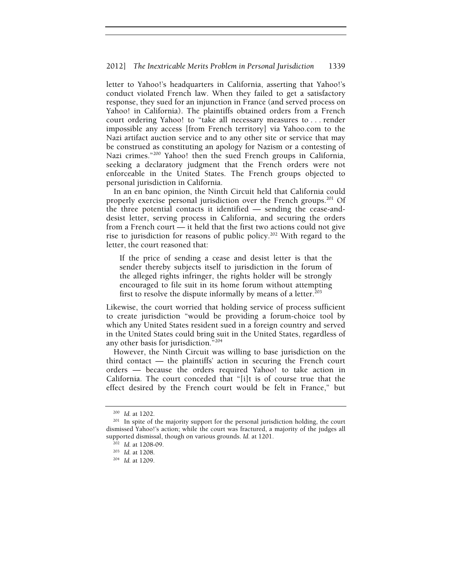letter to Yahoo!'s headquarters in California, asserting that Yahoo!'s conduct violated French law. When they failed to get a satisfactory response, they sued for an injunction in France (and served process on Yahoo! in California). The plaintiffs obtained orders from a French court ordering Yahoo! to "take all necessary measures to . . . render impossible any access [from French territory] via Yahoo.com to the Nazi artifact auction service and to any other site or service that may be construed as constituting an apology for Nazism or a contesting of Nazi crimes."<sup>200</sup> Yahoo! then the sued French groups in California, seeking a declaratory judgment that the French orders were not enforceable in the United States. The French groups objected to personal jurisdiction in California.

In an en banc opinion, the Ninth Circuit held that California could properly exercise personal jurisdiction over the French groups.<sup>201</sup> Of the three potential contacts it identified — sending the cease-anddesist letter, serving process in California, and securing the orders from a French court — it held that the first two actions could not give rise to jurisdiction for reasons of public policy.<sup>202</sup> With regard to the letter, the court reasoned that:

If the price of sending a cease and desist letter is that the sender thereby subjects itself to jurisdiction in the forum of the alleged rights infringer, the rights holder will be strongly encouraged to file suit in its home forum without attempting first to resolve the dispute informally by means of a letter. $203$ 

Likewise, the court worried that holding service of process sufficient to create jurisdiction "would be providing a forum-choice tool by which any United States resident sued in a foreign country and served in the United States could bring suit in the United States, regardless of any other basis for jurisdiction."204

However, the Ninth Circuit was willing to base jurisdiction on the third contact — the plaintiffs' action in securing the French court orders — because the orders required Yahoo! to take action in California. The court conceded that "[i]t is of course true that the effect desired by the French court would be felt in France," but

<sup>&</sup>lt;sup>200</sup> *Id.* at 1202.<br><sup>201</sup> In spite of the majority support for the personal jurisdiction holding, the court dismissed Yahoo!'s action; while the court was fractured, a majority of the judges all supported dismissal, though on various grounds. *Id.* at 1201.<br><sup>202</sup> *Id.* at 1208-09.<br><sup>203</sup> *Id.* at 1208.<br><sup>204</sup> *Id.* at 1209.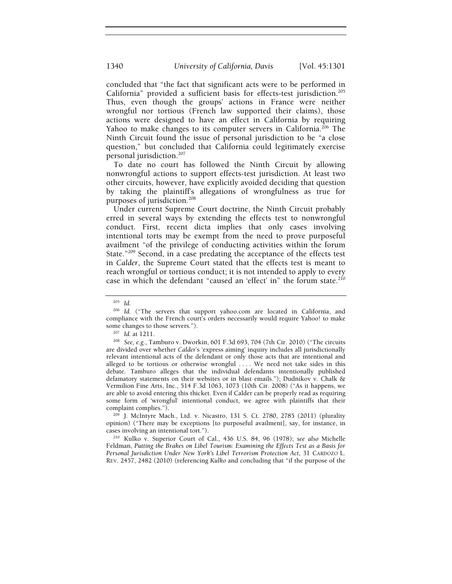concluded that "the fact that significant acts were to be performed in California" provided a sufficient basis for effects-test jurisdiction.205 Thus, even though the groups' actions in France were neither wrongful nor tortious (French law supported their claims), those actions were designed to have an effect in California by requiring Yahoo to make changes to its computer servers in California.<sup>206</sup> The Ninth Circuit found the issue of personal jurisdiction to be "a close question," but concluded that California could legitimately exercise personal jurisdiction.207

To date no court has followed the Ninth Circuit by allowing nonwrongful actions to support effects-test jurisdiction. At least two other circuits, however, have explicitly avoided deciding that question by taking the plaintiff's allegations of wrongfulness as true for purposes of jurisdiction.<sup>208</sup>

Under current Supreme Court doctrine, the Ninth Circuit probably erred in several ways by extending the effects test to nonwrongful conduct. First, recent dicta implies that only cases involving intentional torts may be exempt from the need to prove purposeful availment "of the privilege of conducting activities within the forum State."209 Second, in a case predating the acceptance of the effects test in *Calder*, the Supreme Court stated that the effects test is meant to reach wrongful or tortious conduct; it is not intended to apply to every case in which the defendant "caused an 'effect' in" the forum state.<sup>210</sup>

complaint complies."). 209 J. McIntyre Mach., Ltd. v. Nicastro, 131 S. Ct. 2780, 2785 (2011) (plurality opinion) ("There may be exceptions [to purposeful availment], say, for instance, in

<sup>210</sup> Kulko v. Superior Court of Cal., 436 U.S. 84, 96 (1978); see also Michelle Feldman, *Putting the Brakes on Libel Tourism: Examining the Effects Test as a Basis for Personal Jurisdiction Under New York's Libel Terrorism Protection Act*, 31 CARDOZO L. REV. 2457, 2482 (2010) (referencing *Kulko* and concluding that "if the purpose of the

<sup>205</sup> *Id.* 

<sup>&</sup>lt;sup>206</sup> Id. ("The servers that support yahoo.com are located in California, and compliance with the French court's orders necessarily would require Yahoo! to make

some changes to those servers.").<br><sup>207</sup> *Id.* at 1211.<br><sup>208</sup> *See, e.g.*, Tamburo v. Dworkin, 601 F.3d 693, 704 (7th Cir. 2010) ("The circuits are divided over whether *Calder*'s 'express aiming' inquiry includes all jurisdictionally relevant intentional acts of the defendant or only those acts that are intentional and alleged to be tortious or otherwise wrongful .... We need not take sides in this debate. Tamburo alleges that the individual defendants intentionally published defamatory statements on their websites or in blast emails."); Dudnikov v. Chalk & Vermilion Fine Arts, Inc., 514 F.3d 1063, 1073 (10th Cir. 2008) ("As it happens, we are able to avoid entering this thicket. Even if Calder can be properly read as requiring some form of 'wrongful' intentional conduct, we agree with plaintiffs that their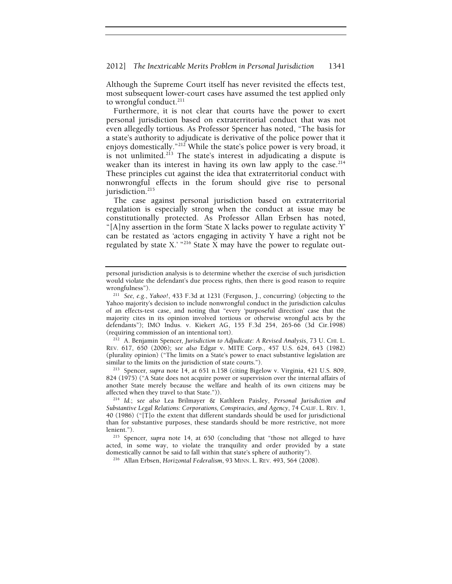#### 2012] *The Inextricable Merits Problem in Personal Jurisdiction* 1341

Although the Supreme Court itself has never revisited the effects test, most subsequent lower-court cases have assumed the test applied only to wrongful conduct. $211$ 

Furthermore, it is not clear that courts have the power to exert personal jurisdiction based on extraterritorial conduct that was not even allegedly tortious. As Professor Spencer has noted, "The basis for a state's authority to adjudicate is derivative of the police power that it enjoys domestically."<sup>212</sup> While the state's police power is very broad, it is not unlimited.<sup>213</sup> The state's interest in adjudicating a dispute is weaker than its interest in having its own law apply to the case.<sup>214</sup> These principles cut against the idea that extraterritorial conduct with nonwrongful effects in the forum should give rise to personal jurisdiction.<sup>215</sup>

The case against personal jurisdiction based on extraterritorial regulation is especially strong when the conduct at issue may be constitutionally protected. As Professor Allan Erbsen has noted, "[A]ny assertion in the form 'State X lacks power to regulate activity  $Y$ can be restated as 'actors engaging in activity Y have a right not be regulated by state X.'  $^{216}$  State X may have the power to regulate out-

<sup>212</sup> A. Benjamin Spencer, Jurisdiction to Adjudicate: A Revised Analysis, 73 U. CHI. L. REV. 617, 650 (2006); *see also* Edgar v. MITE Corp., 457 U.S. 624, 643 (1982) (plurality opinion) ("The limits on a State's power to enact substantive legislation are similar to the limits on the jurisdiction of state courts.").

<sup>213</sup> Spencer, supra note 14, at 651 n.158 (citing Bigelow v. Virginia, 421 U.S. 809, 824 (1975) ("A State does not acquire power or supervision over the internal affairs of another State merely because the welfare and health of its own citizens may be affected when they travel to that State.")). 214 *Id.*; *see also* Lea Brilmayer & Kathleen Paisley, *Personal Jurisdiction and* 

personal jurisdiction analysis is to determine whether the exercise of such jurisdiction would violate the defendant's due process rights, then there is good reason to require wrongfulness"). 211 *See, e.g.*, *Yahoo!*, 433 F.3d at 1231 (Ferguson, J., concurring) (objecting to the

Yahoo majority's decision to include nonwrongful conduct in the jurisdiction calculus of an effects-test case, and noting that "every 'purposeful direction' case that the majority cites in its opinion involved tortious or otherwise wrongful acts by the defendants"); IMO Indus. v. Kiekert AG, 155 F.3d 254, 265-66 (3d Cir.1998) (requiring commission of an intentional tort).

*Substantive Legal Relations: Corporations, Conspiracies, and Agency*, 74 CALIF. L. REV. 1, 40 (1986) ("[T]o the extent that different standards should be used for jurisdictional than for substantive purposes, these standards should be more restrictive, not more lenient."). 215 Spencer*, supra* note 14, at 650 (concluding that "those not alleged to have

acted, in some way, to violate the tranquility and order provided by a state domestically cannot be said to fall within that state's sphere of authority"). 216 Allan Erbsen, *Horizontal Federalism*, 93 MINN. L. REV. 493, 564 (2008).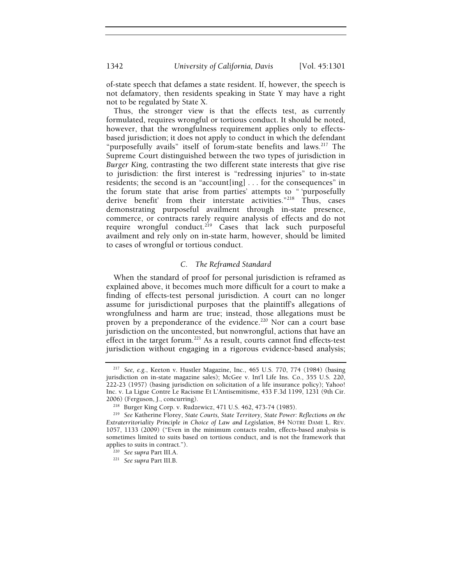of-state speech that defames a state resident. If, however, the speech is not defamatory, then residents speaking in State Y may have a right not to be regulated by State X.

Thus, the stronger view is that the effects test, as currently formulated, requires wrongful or tortious conduct. It should be noted, however, that the wrongfulness requirement applies only to effectsbased jurisdiction; it does not apply to conduct in which the defendant "purposefully avails" itself of forum-state benefits and laws.<sup>217</sup> The Supreme Court distinguished between the two types of jurisdiction in *Burger King,* contrasting the two different state interests that give rise to jurisdiction: the first interest is "redressing injuries" to in-state residents; the second is an "account[ing] . . . for the consequences" in the forum state that arise from parties' attempts to " 'purposefully derive benefit' from their interstate activities."<sup>218</sup> Thus, cases demonstrating purposeful availment through in-state presence, commerce, or contracts rarely require analysis of effects and do not require wrongful conduct.<sup>219</sup> Cases that lack such purposeful availment and rely only on in-state harm, however, should be limited to cases of wrongful or tortious conduct.

## *C. The Reframed Standard*

When the standard of proof for personal jurisdiction is reframed as explained above, it becomes much more difficult for a court to make a finding of effects-test personal jurisdiction. A court can no longer assume for jurisdictional purposes that the plaintiff's allegations of wrongfulness and harm are true; instead, those allegations must be proven by a preponderance of the evidence.<sup>220</sup> Nor can a court base jurisdiction on the uncontested, but nonwrongful, actions that have an effect in the target forum.<sup>221</sup> As a result, courts cannot find effects-test jurisdiction without engaging in a rigorous evidence-based analysis;

<sup>217</sup> *See, e.g.*, Keeton v. Hustler Magazine, Inc., 465 U.S. 770, 774 (1984) (basing jurisdiction on in-state magazine sales); McGee v. Int'l Life Ins. Co., 355 U.S. 220, 222-23 (1957) (basing jurisdiction on solicitation of a life insurance policy); Yahoo! Inc. v. La Ligue Contre Le Racisme Et L'Antisemitisme, 433 F.3d 1199, 1231 (9th Cir. 2006) (Ferguson, J., concurring). 218 Burger King Corp. v. Rudzewicz, 471 U.S. 462, 473-74 (1985). 219 *See* Katherine Florey, *State Courts, State Territory, State Power: Reflections on the* 

*Extraterritoriality Principle in Choice of Law and Legislation*, 84 NOTRE DAME L. REV. 1057, 1133 (2009) ("Even in the minimum contacts realm, effects-based analysis is sometimes limited to suits based on tortious conduct, and is not the framework that applies to suits in contract."). 220 *See supra* Part III.A. 221 *See supra* Part III.B.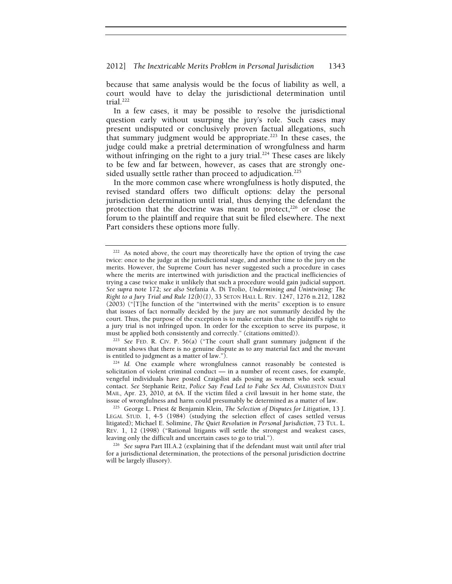because that same analysis would be the focus of liability as well, a court would have to delay the jurisdictional determination until trial. $222$ 

In a few cases, it may be possible to resolve the jurisdictional question early without usurping the jury's role. Such cases may present undisputed or conclusively proven factual allegations, such that summary judgment would be appropriate.<sup>223</sup> In these cases, the judge could make a pretrial determination of wrongfulness and harm without infringing on the right to a jury trial.<sup>224</sup> These cases are likely to be few and far between, however, as cases that are strongly onesided usually settle rather than proceed to adjudication.<sup>225</sup>

In the more common case where wrongfulness is hotly disputed, the revised standard offers two difficult options: delay the personal jurisdiction determination until trial, thus denying the defendant the protection that the doctrine was meant to protect,<sup>226</sup> or close the forum to the plaintiff and require that suit be filed elsewhere. The next Part considers these options more fully.

<sup>223</sup> See FED. R. CIV. P. 56(a) ("The court shall grant summary judgment if the movant shows that there is no genuine dispute as to any material fact and the movant is entitled to judgment as a matter of law.").

<sup>224</sup> Id. One example where wrongfulness cannot reasonably be contested is solicitation of violent criminal conduct — in a number of recent cases, for example, vengeful individuals have posted Craigslist ads posing as women who seek sexual contact. *See* Stephanie Reitz, *Police Say Feud Led to Fake Sex Ad*, CHARLESTON DAILY MAIL, Apr. 23, 2010, at 6A. If the victim filed a civil lawsuit in her home state, the issue of wrongfulness and harm could presumably be determined as a matter of law.

 $222$  As noted above, the court may theoretically have the option of trying the case twice: once to the judge at the jurisdictional stage, and another time to the jury on the merits. However, the Supreme Court has never suggested such a procedure in cases where the merits are intertwined with jurisdiction and the practical inefficiencies of trying a case twice make it unlikely that such a procedure would gain judicial support. *See supra* note 172; *see also* Stefania A. Di Trolio, *Undermining and Unintwining: The Right to a Jury Trial and Rule 12(b)(1)*, 33 SETON HALL L. REV. 1247, 1276 n.212, 1282 (2003) ("[T]he function of the "intertwined with the merits" exception is to ensure that issues of fact normally decided by the jury are not summarily decided by the court. Thus, the purpose of the exception is to make certain that the plaintiff's right to a jury trial is not infringed upon. In order for the exception to serve its purpose, it

<sup>&</sup>lt;sup>225</sup> George L. Priest & Benjamin Klein, *The Selection of Disputes for Litigation*, 13 J. LEGAL STUD. 1, 4-5 (1984) (studying the selection effect of cases settled versus litigated); Michael E. Solimine, *The Quiet Revolution in Personal Jurisdiction*, 73 TUL. L. REV. 1, 12 (1998) ("Rational litigants will settle the strongest and weakest cases, leaving only the difficult and uncertain cases to go to trial."). 226 *See supra* Part III.A.2 (explaining that if the defendant must wait until after trial

for a jurisdictional determination, the protections of the personal jurisdiction doctrine will be largely illusory).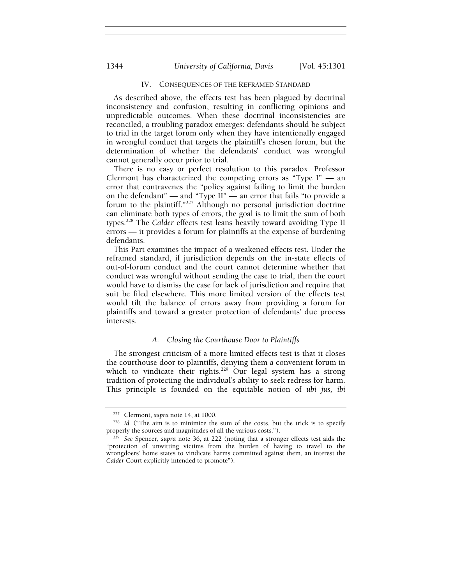## 1344 *University of California, Davis* [Vol. 45:1301

## IV. CONSEQUENCES OF THE REFRAMED STANDARD

As described above, the effects test has been plagued by doctrinal inconsistency and confusion, resulting in conflicting opinions and unpredictable outcomes. When these doctrinal inconsistencies are reconciled, a troubling paradox emerges: defendants should be subject to trial in the target forum only when they have intentionally engaged in wrongful conduct that targets the plaintiff's chosen forum, but the determination of whether the defendants' conduct was wrongful cannot generally occur prior to trial.

There is no easy or perfect resolution to this paradox. Professor Clermont has characterized the competing errors as "Type  $I$ " — an error that contravenes the "policy against failing to limit the burden on the defendant" — and "Type II" — an error that fails "to provide a forum to the plaintiff."227 Although no personal jurisdiction doctrine can eliminate both types of errors, the goal is to limit the sum of both types.228 The *Calder* effects test leans heavily toward avoiding Type II errors — it provides a forum for plaintiffs at the expense of burdening defendants.

This Part examines the impact of a weakened effects test. Under the reframed standard, if jurisdiction depends on the in-state effects of out-of-forum conduct and the court cannot determine whether that conduct was wrongful without sending the case to trial, then the court would have to dismiss the case for lack of jurisdiction and require that suit be filed elsewhere. This more limited version of the effects test would tilt the balance of errors away from providing a forum for plaintiffs and toward a greater protection of defendants' due process interests.

## *A. Closing the Courthouse Door to Plaintiffs*

The strongest criticism of a more limited effects test is that it closes the courthouse door to plaintiffs, denying them a convenient forum in which to vindicate their rights.<sup>229</sup> Our legal system has a strong tradition of protecting the individual's ability to seek redress for harm. This principle is founded on the equitable notion of *ubi jus, ibi* 

<sup>&</sup>lt;sup>227</sup> Clermont, *supra* note 14, at 1000.<br><sup>228</sup> *Id.* ("The aim is to minimize the sum of the costs, but the trick is to specify properly the sources and magnitudes of all the various costs.").

<sup>&</sup>lt;sup>229</sup> See Spencer, *supra* note 36, at 222 (noting that a stronger effects test aids the "protection of unwitting victims from the burden of having to travel to the wrongdoers' home states to vindicate harms committed against them, an interest the *Calder* Court explicitly intended to promote").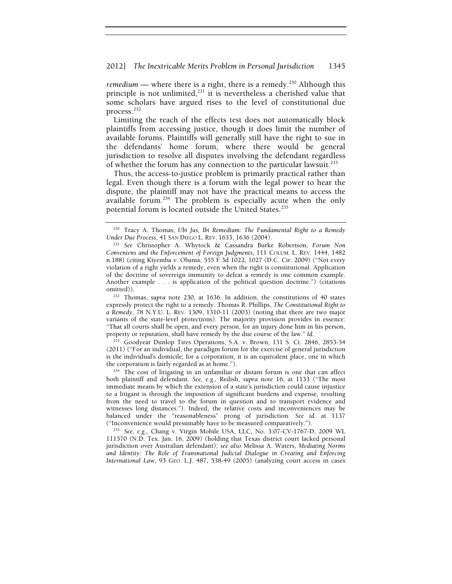#### 2012] *The Inextricable Merits Problem in Personal Jurisdiction* 1345

*remedium* — where there is a right, there is a remedy.<sup>230</sup> Although this principle is not unlimited,<sup>231</sup> it is nevertheless a cherished value that some scholars have argued rises to the level of constitutional due process.<sup>232</sup>

Limiting the reach of the effects test does not automatically block plaintiffs from accessing justice, though it does limit the number of available forums. Plaintiffs will generally still have the right to sue in the defendants' home forum, where there would be general jurisdiction to resolve all disputes involving the defendant regardless of whether the forum has any connection to the particular lawsuit.233

Thus, the access-to-justice problem is primarily practical rather than legal. Even though there is a forum with the legal power to hear the dispute, the plaintiff may not have the practical means to access the available forum.234 The problem is especially acute when the only potential forum is located outside the United States.<sup>235</sup>

<sup>233</sup> Goodyear Dunlop Tires Operations, S.A. v. Brown, 131 S. Ct. 2846, 2853-54 (2011) ("For an individual, the paradigm forum for the exercise of general jurisdiction is the individual's domicile; for a corporation, it is an equivalent place, one in which the corporation is fairly regarded as at home.").<br><sup>234</sup> The cost of litigating in an unfamiliar or distant forum is one that can affect

both plaintiff and defendant. *See, e.g.*, Redish, *supra* note 16, at 1133 ("The most immediate means by which the extension of a state's jurisdiction could cause injustice to a litigant is through the imposition of significant burdens and expense, resulting from the need to travel to the forum in question and to transport evidence and witnesses long distances."). Indeed, the relative costs and inconveniences may be balanced under the "reasonableness" prong of jurisdiction. *See id.* at 1137 ("Inconvenience would presumably have to be measured comparatively.").

<sup>235</sup> See, e.g., Chang v. Virgin Mobile USA, LLC, No. 3:07-CV-1767-D, 2009 WL 111570 (N.D. Tex. Jan. 16, 2009) (holding that Texas district court lacked personal jurisdiction over Australian defendant); *see also* Melissa A. Waters, *Mediating Norms and Identity: The Role of Transnational Judicial Dialogue in Creating and Enforcing International Law*, 93 GEO. L.J. 487, 538-49 (2005) (analyzing court access in cases

<sup>230</sup> Tracy A. Thomas*, Ubi Jus, Ibi Remedium: The Fundamental Right to a Remedy Under Due Process*, 41 SAN DIEGO L. REV. 1633, 1636 (2004). 231 *See* Christopher A. Whytock & Cassandra Burke Robertson, *Forum Non* 

*Conveniens and the Enforcement of Foreign Judgments*, 111 COLUM. L. REV. 1444, 1482 n.188) (citing Kiyemba v. Obama, 555 F.3d 1022, 1027 (D.C. Cir. 2009) ("Not every violation of a right yields a remedy, even when the right is constitutional. Application of the doctrine of sovereign immunity to defeat a remedy is one common example. Another example . . . is application of the political question doctrine.") (citations omitted)). 232 Thomas, *supra* note 230, at 1636. In addition, the constitutions of 40 states

expressly protect the right to a remedy. Thomas R. Phillips, *The Constitutional Right to a Remedy*, 78 N.Y.U. L. REV. 1309, 1310-11 (2003) (noting that there are two major variants of the state-level protections). The majority provision provides in essence: "That all courts shall be open, and every person, for an injury done him in his person, property or reputation, shall have remedy by the due course of the law." *Id.*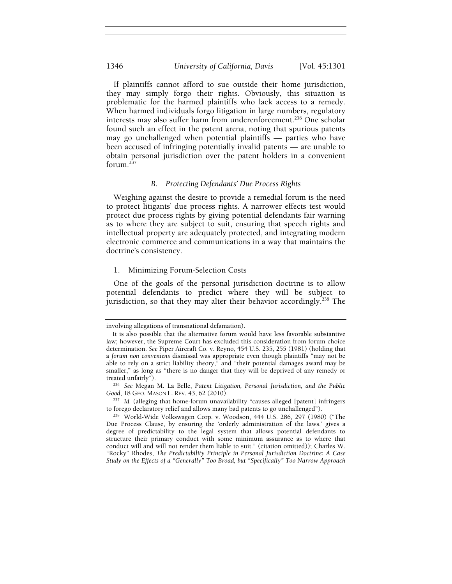If plaintiffs cannot afford to sue outside their home jurisdiction, they may simply forgo their rights. Obviously, this situation is problematic for the harmed plaintiffs who lack access to a remedy. When harmed individuals forgo litigation in large numbers, regulatory interests may also suffer harm from underenforcement.<sup>236</sup> One scholar found such an effect in the patent arena, noting that spurious patents may go unchallenged when potential plaintiffs — parties who have been accused of infringing potentially invalid patents — are unable to obtain personal jurisdiction over the patent holders in a convenient forum.237

## *B. Protecting Defendants' Due Process Rights*

Weighing against the desire to provide a remedial forum is the need to protect litigants' due process rights. A narrower effects test would protect due process rights by giving potential defendants fair warning as to where they are subject to suit, ensuring that speech rights and intellectual property are adequately protected, and integrating modern electronic commerce and communications in a way that maintains the doctrine's consistency.

## 1. Minimizing Forum-Selection Costs

One of the goals of the personal jurisdiction doctrine is to allow potential defendants to predict where they will be subject to jurisdiction, so that they may alter their behavior accordingly.<sup>238</sup> The

involving allegations of transnational defamation).

It is also possible that the alternative forum would have less favorable substantive law; however, the Supreme Court has excluded this consideration from forum choice determination. *See* Piper Aircraft Co. v. Reyno, 454 U.S. 235, 255 (1981) (holding that a *forum non conveniens* dismissal was appropriate even though plaintiffs "may not be able to rely on a strict liability theory," and "their potential damages award may be smaller," as long as "there is no danger that they will be deprived of any remedy or treated unfairly").

<sup>&</sup>lt;sup>236</sup> See Megan M. La Belle, Patent Litigation, Personal Jurisdiction, and the Public *Good*, 18 GEO. MASON L. REV. 43, 62 (2010).<br><sup>237</sup> *Id.* (alleging that home-forum unavailability "causes alleged [patent] infringers

to forego declaratory relief and allows many bad patents to go unchallenged").

<sup>238</sup> World-Wide Volkswagen Corp. v. Woodson, 444 U.S. 286, 297 (1980) ("The Due Process Clause, by ensuring the 'orderly administration of the laws,' gives a degree of predictability to the legal system that allows potential defendants to structure their primary conduct with some minimum assurance as to where that conduct will and will not render them liable to suit." (citation omitted)); Charles W. "Rocky" Rhodes, *The Predictability Principle in Personal Jurisdiction Doctrine: A Case Study on the Effects of a "Generally" Too Broad, but "Specifically" Too Narrow Approach*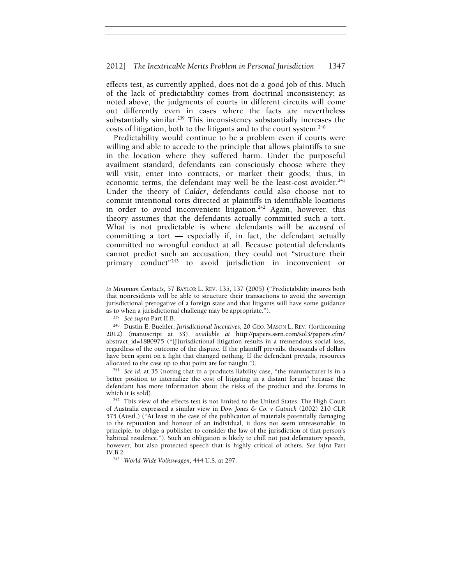effects test, as currently applied, does not do a good job of this. Much of the lack of predictability comes from doctrinal inconsistency; as noted above, the judgments of courts in different circuits will come out differently even in cases where the facts are nevertheless substantially similar.<sup>239</sup> This inconsistency substantially increases the costs of litigation, both to the litigants and to the court system.<sup>240</sup>

Predictability would continue to be a problem even if courts were willing and able to accede to the principle that allows plaintiffs to sue in the location where they suffered harm. Under the purposeful availment standard, defendants can consciously choose where they will visit, enter into contracts, or market their goods; thus, in economic terms, the defendant may well be the least-cost avoider.<sup>241</sup> Under the theory of *Calder*, defendants could also choose not to commit intentional torts directed at plaintiffs in identifiable locations in order to avoid inconvenient litigation.<sup>242</sup> Again, however, this theory assumes that the defendants actually committed such a tort. What is not predictable is where defendants will be *accused* of committing a tort — especially if, in fact, the defendant actually committed no wrongful conduct at all. Because potential defendants cannot predict such an accusation, they could not "structure their primary conduct<sup>"243</sup> to avoid jurisdiction in inconvenient or

better position to internalize the cost of litigating in a distant forum" because the defendant has more information about the risks of the product and the forums in

*to Minimum Contacts*, 57 BAYLOR L. REV. 135, 137 (2005) ("Predictability insures both that nonresidents will be able to structure their transactions to avoid the sovereign jurisdictional prerogative of a foreign state and that litigants will have some guidance

as to when a jurisdictional challenge may be appropriate."). 239 *See supra* Part II.B. 240 Dustin E. Buehler, *Jurisdictional Incentives*, 20 GEO. MASON L. REV. (forthcoming 2012) (manuscript at 33), *available at* http://papers.ssrn.com/sol3/papers.cfm? abstract\_id=1880975 ("[J]urisdictional litigation results in a tremendous social loss, regardless of the outcome of the dispute. If the plaintiff prevails, thousands of dollars have been spent on a fight that changed nothing. If the defendant prevails, resources allocated to the case up to that point are for naught."). 241 *See id.* at 35 (noting that in a products liability case, "the manufacturer is in a

<sup>&</sup>lt;sup>242</sup> This view of the effects test is not limited to the United States. The High Court of Australia expressed a similar view in *Dow Jones & Co. v Gutnick* (2002) 210 CLR 575 (Austl.) ("At least in the case of the publication of materials potentially damaging to the reputation and honour of an individual, it does not seem unreasonable, in principle, to oblige a publisher to consider the law of the jurisdiction of that person's habitual residence."). Such an obligation is likely to chill not just defamatory speech, however, but also protected speech that is highly critical of others. *See infra* Part IV.B.2. 243 *World-Wide Volkswagen*, 444 U.S. at 297.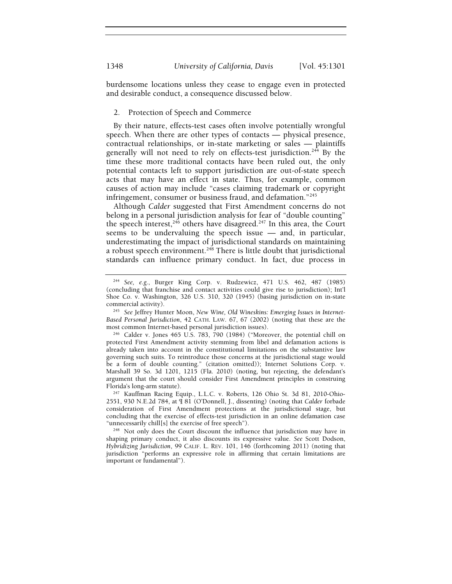burdensome locations unless they cease to engage even in protected and desirable conduct, a consequence discussed below.

#### 2. Protection of Speech and Commerce

By their nature, effects-test cases often involve potentially wrongful speech. When there are other types of contacts — physical presence, contractual relationships, or in-state marketing or sales — plaintiffs generally will not need to rely on effects-test jurisdiction.<sup>244</sup> By the time these more traditional contacts have been ruled out, the only potential contacts left to support jurisdiction are out-of-state speech acts that may have an effect in state. Thus, for example, common causes of action may include "cases claiming trademark or copyright infringement, consumer or business fraud, and defamation."245

Although *Calder* suggested that First Amendment concerns do not belong in a personal jurisdiction analysis for fear of "double counting" the speech interest,  $246$  others have disagreed.<sup>247</sup> In this area, the Court seems to be undervaluing the speech issue — and, in particular, underestimating the impact of jurisdictional standards on maintaining a robust speech environment.<sup>248</sup> There is little doubt that jurisdictional standards can influence primary conduct. In fact, due process in

<sup>244</sup> *See, e.g.*, Burger King Corp. v. Rudzewicz, 471 U.S. 462, 487 (1985) (concluding that franchise and contact activities could give rise to jurisdiction); Int'l Shoe Co. v. Washington, 326 U.S. 310, 320 (1945) (basing jurisdiction on in-state

commercial activity). 245 *See* Jeffrey Hunter Moon, *New Wine, Old Wineskins: Emerging Issues in Internet-Based Personal Jurisdiction*, 42 CATH. LAW. 67, 67 (2002) (noting that these are the most common Internet-based personal jurisdiction issues).<br><sup>246</sup> Calder v. Jones 465 U.S. 783, 790 (1984) ("Moreover, the potential chill on

protected First Amendment activity stemming from libel and defamation actions is already taken into account in the constitutional limitations on the substantive law governing such suits. To reintroduce those concerns at the jurisdictional stage would be a form of double counting." (citation omitted)); Internet Solutions Corp. v. Marshall 39 So. 3d 1201, 1215 (Fla. 2010) (noting, but rejecting, the defendant's argument that the court should consider First Amendment principles in construing Florida's long-arm statute).<br><sup>247</sup> Kauffman Racing Equip., L.L.C. v. Roberts, 126 Ohio St. 3d 81, 2010-Ohio-

<sup>2551, 930</sup> N.E.2d 784, at ¶ 81 (O'Donnell, J., dissenting) (noting that *Calder* forbade consideration of First Amendment protections at the jurisdictional stage, but concluding that the exercise of effects-test jurisdiction in an online defamation case

<sup>&</sup>quot;unnecessarily chill[s] the exercise of free speech").<br><sup>248</sup> Not only does the Court discount the influence that jurisdiction may have in shaping primary conduct, it also discounts its expressive value. *See* Scott Dodson, *Hybridizing Jurisdiction*, 99 CALIF. L. REV. 101, 146 (forthcoming 2011) (noting that jurisdiction "performs an expressive role in affirming that certain limitations are important or fundamental").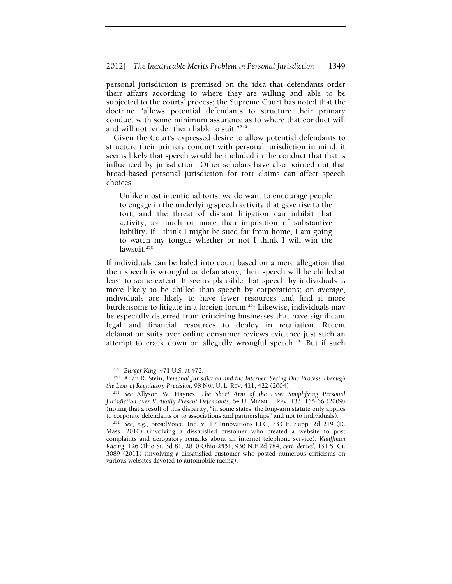## 2012] *The Inextricable Merits Problem in Personal Jurisdiction* 1349

personal jurisdiction is premised on the idea that defendants order their affairs according to where they are willing and able to be subjected to the courts' process; the Supreme Court has noted that the doctrine "allows potential defendants to structure their primary conduct with some minimum assurance as to where that conduct will and will not render them liable to suit."249

Given the Court's expressed desire to allow potential defendants to structure their primary conduct with personal jurisdiction in mind, it seems likely that speech would be included in the conduct that that is influenced by jurisdiction. Other scholars have also pointed out that broad-based personal jurisdiction for tort claims can affect speech choices:

Unlike most intentional torts, we do want to encourage people to engage in the underlying speech activity that gave rise to the tort, and the threat of distant litigation can inhibit that activity, as much or more than imposition of substantive liability. If I think I might be sued far from home, I am going to watch my tongue whether or not I think I will win the  $lawsuit.<sup>250</sup>$ 

If individuals can be haled into court based on a mere allegation that their speech is wrongful or defamatory, their speech will be chilled at least to some extent. It seems plausible that speech by individuals is more likely to be chilled than speech by corporations; on average, individuals are likely to have fewer resources and find it more burdensome to litigate in a foreign forum.<sup>251</sup> Likewise, individuals may be especially deterred from criticizing businesses that have significant legal and financial resources to deploy in retaliation. Recent defamation suits over online consumer reviews evidence just such an attempt to crack down on allegedly wrongful speech.<sup>252</sup> But if such

<sup>&</sup>lt;sup>249</sup> *Burger King*, 471 U.S. at 472.<br><sup>250</sup> Allan R. Stein, *Personal Jurisdiction and the Internet: Seeing Due Process Through the Lens of Regulatory Precision, 98 Nw. U. L. REV. 411, 422 (2004).* 

<sup>&</sup>lt;sup>251</sup> See Allyson W. Haynes, *The Short Arm of the Law: Simplifying Personal Jurisdiction over Virtually Present Defendants*, 64 U. MIAMI L. REV. 133, 165-66 (2009) (noting that a result of this disparity, "in some states, the long-arm statute only applies to corporate defendants or to associations and partnerships" and not to individuals).

<sup>252</sup> *See, e.g.*, BroadVoice, Inc. v. TP Innovations LLC, 733 F. Supp. 2d 219 (D. Mass. 2010) (involving a dissatisfied customer who created a website to post complaints and derogatory remarks about an internet telephone service); *Kauffman Racing*, 126 Ohio St. 3d 81, 2010-Ohio-2551, 930 N.E.2d 784, *cert. denied*, 131 S. Ct. 3089 (2011) (involving a dissatisfied customer who posted numerous criticisms on various websites devoted to automobile racing).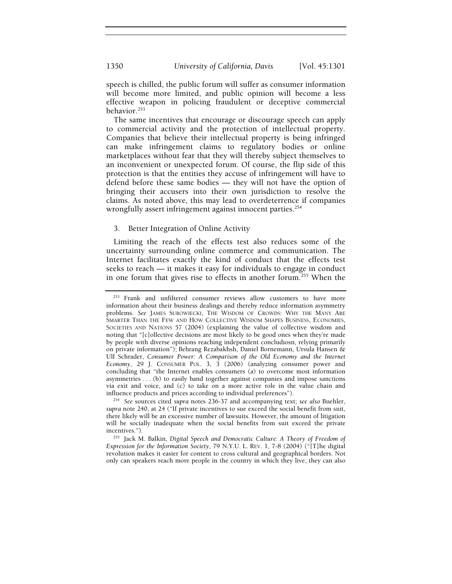speech is chilled, the public forum will suffer as consumer information will become more limited, and public opinion will become a less effective weapon in policing fraudulent or deceptive commercial behavior.<sup>253</sup>

The same incentives that encourage or discourage speech can apply to commercial activity and the protection of intellectual property. Companies that believe their intellectual property is being infringed can make infringement claims to regulatory bodies or online marketplaces without fear that they will thereby subject themselves to an inconvenient or unexpected forum. Of course, the flip side of this protection is that the entities they accuse of infringement will have to defend before these same bodies — they will not have the option of bringing their accusers into their own jurisdiction to resolve the claims. As noted above, this may lead to overdeterrence if companies wrongfully assert infringement against innocent parties.<sup>254</sup>

## 3. Better Integration of Online Activity

Limiting the reach of the effects test also reduces some of the uncertainty surrounding online commerce and communication. The Internet facilitates exactly the kind of conduct that the effects test seeks to reach — it makes it easy for individuals to engage in conduct in one forum that gives rise to effects in another forum.<sup>255</sup> When the

<sup>253</sup> Frank and unfiltered consumer reviews allow customers to have more information about their business dealings and thereby reduce information asymmetry problems. *See* JAMES SUROWIECKI, THE WISDOM OF CROWDS: WHY THE MANY ARE SMARTER THAN THE FEW AND HOW COLLECTIVE WISDOM SHAPES BUSINESS, ECONOMIES, SOCIETIES AND NATIONS 57 (2004) (explaining the value of collective wisdom and noting that "[c]ollective decisions are most likely to be good ones when they're made by people with diverse opinions reaching independent concludiosn, relying primarily on private information"); Behrang Rezabakhsh, Daniel Bornemann, Ursula Hansen & Ulf Schrader, *Consumer Power: A Comparison of the Old Economy and the Internet Economy*, 29 J. CONSUMER POL. 3, 3 (2006) (analyzing consumer power and concluding that "the Internet enables consumers (a) to overcome most information asymmetries . . . (b) to easily band together against companies and impose sanctions via exit and voice, and (c) to take on a more active role in the value chain and influence products and prices according to individual preferences"). 254 *See* sources cited *supra* notes 236-37 and accompanying text; *see also* Buehler,

*supra* note 240, at 24 ("If private incentives to sue exceed the social benefit from suit, there likely will be an excessive number of lawsuits. However, the amount of litigation will be socially inadequate when the social benefits from suit exceed the private

incentives.").<br><sup>255</sup> Jack M. Balkin, *Digital Speech and Democratic Culture: A Theory of Freedom of Expression for the Information Society*, 79 N.Y.U. L. REV. 1, 7-8 (2004) ("[T]he digital revolution makes it easier for content to cross cultural and geographical borders. Not only can speakers reach more people in the country in which they live, they can also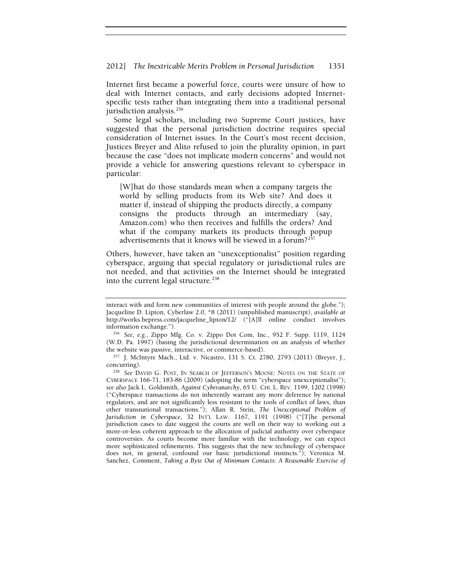#### 2012] *The Inextricable Merits Problem in Personal Jurisdiction* 1351

Internet first became a powerful force, courts were unsure of how to deal with Internet contacts, and early decisions adopted Internetspecific tests rather than integrating them into a traditional personal jurisdiction analysis.<sup>256</sup>

Some legal scholars, including two Supreme Court justices, have suggested that the personal jurisdiction doctrine requires special consideration of Internet issues. In the Court's most recent decision, Justices Breyer and Alito refused to join the plurality opinion, in part because the case "does not implicate modern concerns" and would not provide a vehicle for answering questions relevant to cyberspace in particular:

[W]hat do those standards mean when a company targets the world by selling products from its Web site? And does it matter if, instead of shipping the products directly, a company consigns the products through an intermediary (say, Amazon.com) who then receives and fulfills the orders? And what if the company markets its products through popup advertisements that it knows will be viewed in a forum?<sup>257</sup>

Others, however, have taken an "unexceptionalist" position regarding cyberspace, arguing that special regulatory or jurisdictional rules are not needed, and that activities on the Internet should be integrated into the current legal structure.<sup>258</sup>

interact with and form new communities of interest with people around the globe."); Jacqueline D. Lipton, Cyberlaw 2.0, \*8 (2011) (unpublished manuscript), *available at* http://works.bepress.com/jacqueline\_lipton/12/ ("[A]ll online conduct involves information exchange."). 256 *See, e.g.*, Zippo Mfg. Co. v. Zippo Dot Com, Inc., 952 F. Supp. 1119, 1124

<sup>(</sup>W.D. Pa. 1997) (basing the jurisdictional determination on an analysis of whether

the website was passive, interactive, or commerce-based).<br><sup>257</sup> J. McIntyre Mach., Ltd. v. Nicastro, 131 S. Ct. 2780, 2793 (2011) (Breyer, J., concurring).

<sup>&</sup>lt;sup>258</sup> See DAVID G. POST, IN SEARCH OF JEFFERSON'S MOOSE: NOTES ON THE STATE OF CYBERSPACE 166-71, 183-86 (2009) (adopting the term "cyberspace unexceptionalist"); *see also* Jack L. Goldsmith, *Against Cyberanarchy*, 65 U. CHI. L. REV. 1199, 1202 (1998) ("Cyberspace transactions do not inherently warrant any more deference by national regulators, and are not significantly less resistant to the tools of conflict of laws, than other transnational transactions."); Allan R. Stein, *The Unexceptional Problem of Jurisdiction in Cyberspace*, 32 INT'L LAW. 1167, 1191 (1998) ("[T]he personal jurisdiction cases to date suggest the courts are well on their way to working out a more-or-less coherent approach to the allocation of judicial authority over cyberspace controversies. As courts become more familiar with the technology, we can expect more sophisticated refinements. This suggests that the new technology of cyberspace does not, in general, confound our basic jurisdictional instincts."); Veronica M. Sanchez, Comment, *Taking a Byte Out of Minimum Contacts: A Reasonable Exercise of*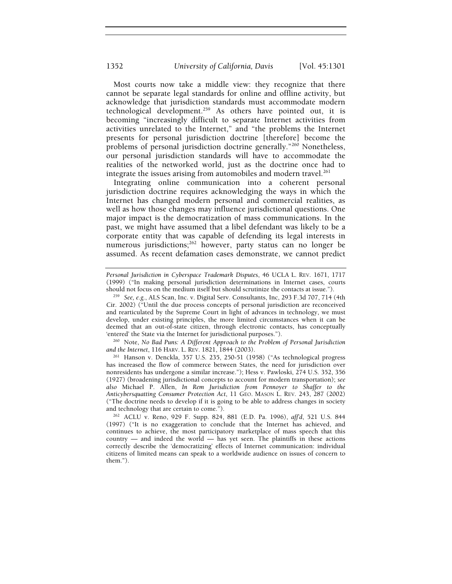Most courts now take a middle view: they recognize that there cannot be separate legal standards for online and offline activity, but acknowledge that jurisdiction standards must accommodate modern technological development.<sup>259</sup> As others have pointed out, it is becoming "increasingly difficult to separate Internet activities from activities unrelated to the Internet," and "the problems the Internet presents for personal jurisdiction doctrine [therefore] become the problems of personal jurisdiction doctrine generally."260 Nonetheless, our personal jurisdiction standards will have to accommodate the realities of the networked world, just as the doctrine once had to integrate the issues arising from automobiles and modern travel.<sup>261</sup>

Integrating online communication into a coherent personal jurisdiction doctrine requires acknowledging the ways in which the Internet has changed modern personal and commercial realities, as well as how those changes may influence jurisdictional questions. One major impact is the democratization of mass communications. In the past, we might have assumed that a libel defendant was likely to be a corporate entity that was capable of defending its legal interests in numerous jurisdictions;<sup>262</sup> however, party status can no longer be assumed. As recent defamation cases demonstrate, we cannot predict

'entered' the State via the Internet for jurisdictional purposes.").<br><sup>260</sup> Note, *No Bad Puns: A Different Approach to the Problem of Personal Jurisdiction and the Internet*, 116 HARV. L. REV. 1821, 1844 (2003).

<sup>261</sup> Hanson v. Denckla, 357 U.S. 235, 250-51 (1958) ("As technological progress has increased the flow of commerce between States, the need for jurisdiction over nonresidents has undergone a similar increase."); Hess v. Pawloski, 274 U.S. 352, 356 (1927) (broadening jurisdictional concepts to account for modern transportation); *see also* Michael P. Allen, *In Rem Jurisdiction from Pennoyer to Shaffer to the Anticybersquatting Consumer Protection Act*, 11 GEO. MASON L. REV. 243, 287 (2002) ("The doctrine needs to develop if it is going to be able to address changes in society and technology that are certain to come."). 262 ACLU v. Reno, 929 F. Supp. 824, 881 (E.D. Pa. 1996), *aff'd*, 521 U.S. 844

*Personal Jurisdiction in Cyberspace Trademark Disputes*, 46 UCLA L. REV. 1671, 1717 (1999) ("In making personal jurisdiction determinations in Internet cases, courts should not focus on the medium itself but should scrutinize the contacts at issue."). 259 *See, e.g.*, ALS Scan, Inc. v. Digital Serv. Consultants, Inc, 293 F.3d 707, 714 (4th

Cir. 2002) ("Until the due process concepts of personal jurisdiction are reconceived and rearticulated by the Supreme Court in light of advances in technology, we must develop, under existing principles, the more limited circumstances when it can be deemed that an out-of-state citizen, through electronic contacts, has conceptually

<sup>(1997) (&</sup>quot;It is no exaggeration to conclude that the Internet has achieved, and continues to achieve, the most participatory marketplace of mass speech that this country — and indeed the world — has yet seen. The plaintiffs in these actions correctly describe the 'democratizing' effects of Internet communication: individual citizens of limited means can speak to a worldwide audience on issues of concern to them.").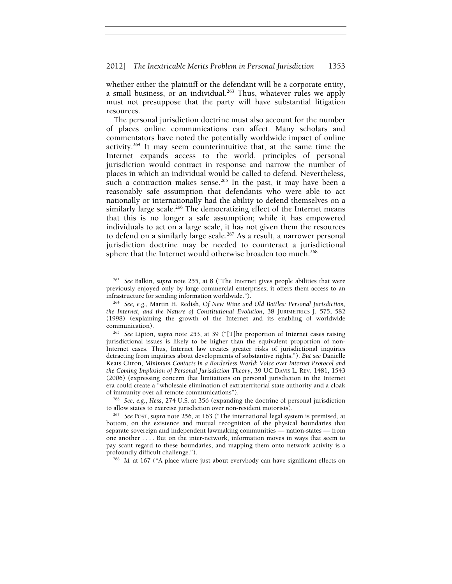whether either the plaintiff or the defendant will be a corporate entity, a small business, or an individual.<sup>263</sup> Thus, whatever rules we apply must not presuppose that the party will have substantial litigation resources.

The personal jurisdiction doctrine must also account for the number of places online communications can affect. Many scholars and commentators have noted the potentially worldwide impact of online activity.<sup>264</sup> It may seem counterintuitive that, at the same time the Internet expands access to the world, principles of personal jurisdiction would contract in response and narrow the number of places in which an individual would be called to defend. Nevertheless, such a contraction makes sense.<sup>265</sup> In the past, it may have been a reasonably safe assumption that defendants who were able to act nationally or internationally had the ability to defend themselves on a similarly large scale.<sup>266</sup> The democratizing effect of the Internet means that this is no longer a safe assumption; while it has empowered individuals to act on a large scale, it has not given them the resources to defend on a similarly large scale.<sup>267</sup> As a result, a narrower personal jurisdiction doctrine may be needed to counteract a jurisdictional sphere that the Internet would otherwise broaden too much.<sup>268</sup>

<sup>263</sup> *See* Balkin, *supra* note 255, at 8 ("The Internet gives people abilities that were previously enjoyed only by large commercial enterprises; it offers them access to an infrastructure for sending information worldwide.").

<sup>&</sup>lt;sup>264</sup> See, e.g., Martin H. Redish, Of New Wine and Old Bottles: Personal Jurisdiction, *the Internet, and the Nature of Constitutional Evolution*, 38 JURIMETRICS J. 575, 582 (1998) (explaining the growth of the Internet and its enabling of worldwide

communication). 265 *See* Lipton, *supra* note 253, at 39 ("[T]he proportion of Internet cases raising jurisdictional issues is likely to be higher than the equivalent proportion of non-Internet cases. Thus, Internet law creates greater risks of jurisdictional inquiries detracting from inquiries about developments of substantive rights."). *But see* Danielle Keats Citron, *Minimum Contacts in a Borderless World: Voice over Internet Protocol and the Coming Implosion of Personal Jurisdiction Theory*, 39 UC DAVIS L. REV. 1481, 1543 (2006) (expressing concern that limitations on personal jurisdiction in the Internet era could create a "wholesale elimination of extraterritorial state authority and a cloak of immunity over all remote communications"). 266 *See, e.g.*, *Hess*, 274 U.S. at 356 (expanding the doctrine of personal jurisdiction

to allow states to exercise jurisdiction over non-resident motorists). 267 *See* POST, *supra* note 256, at 163 ("The international legal system is premised, at

bottom, on the existence and mutual recognition of the physical boundaries that separate sovereign and independent lawmaking communities — nation-states — from one another . . . . But on the inter-network, information moves in ways that seem to pay scant regard to these boundaries, and mapping them onto network activity is a profoundly difficult challenge.").<br><sup>268</sup> *Id.* at 167 ("A place where just about everybody can have significant effects on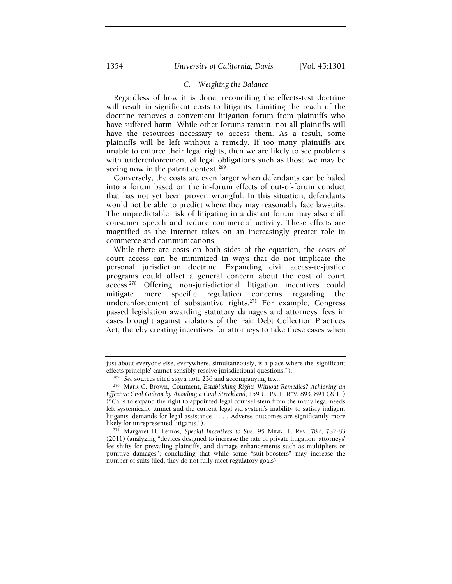## *C. Weighing the Balance*

Regardless of how it is done, reconciling the effects-test doctrine will result in significant costs to litigants. Limiting the reach of the doctrine removes a convenient litigation forum from plaintiffs who have suffered harm. While other forums remain, not all plaintiffs will have the resources necessary to access them. As a result, some plaintiffs will be left without a remedy. If too many plaintiffs are unable to enforce their legal rights, then we are likely to see problems with underenforcement of legal obligations such as those we may be seeing now in the patent context.<sup>269</sup>

Conversely, the costs are even larger when defendants can be haled into a forum based on the in-forum effects of out-of-forum conduct that has not yet been proven wrongful. In this situation, defendants would not be able to predict where they may reasonably face lawsuits. The unpredictable risk of litigating in a distant forum may also chill consumer speech and reduce commercial activity. These effects are magnified as the Internet takes on an increasingly greater role in commerce and communications.

While there are costs on both sides of the equation, the costs of court access can be minimized in ways that do not implicate the personal jurisdiction doctrine. Expanding civil access-to-justice programs could offset a general concern about the cost of court access.270 Offering non-jurisdictional litigation incentives could mitigate more specific regulation concerns regarding the underenforcement of substantive rights.<sup>271</sup> For example, Congress passed legislation awarding statutory damages and attorneys' fees in cases brought against violators of the Fair Debt Collection Practices Act, thereby creating incentives for attorneys to take these cases when

just about everyone else, everywhere, simultaneously, is a place where the 'significant effects principle' cannot sensibly resolve jurisdictional questions.").

<sup>&</sup>lt;sup>269</sup> See sources cited supra note 236 and accompanying text.<br><sup>270</sup> Mark C. Brown, Comment, Establishing Rights Without Remedies? Achieving an *Effective Civil Gideon by Avoiding a Civil Strickland*, 159 U. PA. L. REV. 893, 894 (2011) ("Calls to expand the right to appointed legal counsel stem from the many legal needs left systemically unmet and the current legal aid system's inability to satisfy indigent litigants' demands for legal assistance . . . . Adverse outcomes are significantly more likely for unrepresented litigants.").

<sup>&</sup>lt;sup>271</sup> Margaret H. Lemos, *Special Incentives to Sue*, 95 MINN. L. REV. 782, 782-83 (2011) (analyzing "devices designed to increase the rate of private litigation: attorneys' fee shifts for prevailing plaintiffs, and damage enhancements such as multipliers or punitive damages"; concluding that while some "suit-boosters" may increase the number of suits filed, they do not fully meet regulatory goals).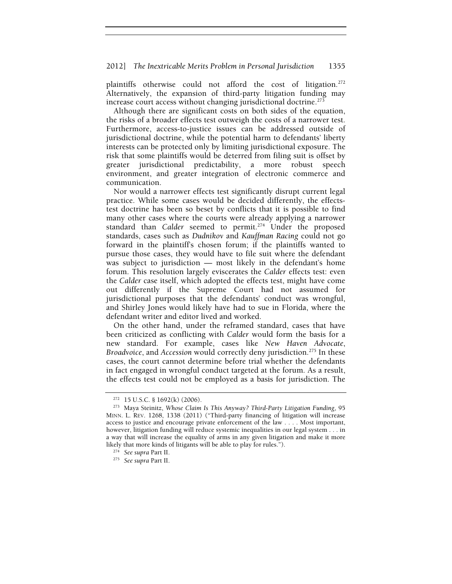## 2012] *The Inextricable Merits Problem in Personal Jurisdiction* 1355

plaintiffs otherwise could not afford the cost of litigation.<sup>272</sup> Alternatively, the expansion of third-party litigation funding may increase court access without changing jurisdictional doctrine.<sup>273</sup>

Although there are significant costs on both sides of the equation, the risks of a broader effects test outweigh the costs of a narrower test. Furthermore, access-to-justice issues can be addressed outside of jurisdictional doctrine, while the potential harm to defendants' liberty interests can be protected only by limiting jurisdictional exposure. The risk that some plaintiffs would be deterred from filing suit is offset by greater jurisdictional predictability, a more robust speech environment, and greater integration of electronic commerce and communication.

Nor would a narrower effects test significantly disrupt current legal practice. While some cases would be decided differently, the effectstest doctrine has been so beset by conflicts that it is possible to find many other cases where the courts were already applying a narrower standard than *Calder* seemed to permit.<sup>274</sup> Under the proposed standards, cases such as *Dudnikov* and *Kauffman Racing* could not go forward in the plaintiff's chosen forum; if the plaintiffs wanted to pursue those cases, they would have to file suit where the defendant was subject to jurisdiction — most likely in the defendant's home forum. This resolution largely eviscerates the *Calder* effects test: even the *Calder* case itself, which adopted the effects test, might have come out differently if the Supreme Court had not assumed for jurisdictional purposes that the defendants' conduct was wrongful, and Shirley Jones would likely have had to sue in Florida, where the defendant writer and editor lived and worked.

On the other hand, under the reframed standard, cases that have been criticized as conflicting with *Calder* would form the basis for a new standard. For example, cases like *New Haven Advocate*, *Broadvoice*, and *Accession* would correctly deny jurisdiction.<sup>275</sup> In these cases, the court cannot determine before trial whether the defendants in fact engaged in wrongful conduct targeted at the forum. As a result, the effects test could not be employed as a basis for jurisdiction. The

<sup>272 15</sup> U.S.C. § 1692(k) (2006). 273 Maya Steinitz, *Whose Claim Is This Anyway? Third-Party Litigation Funding*, 95 MINN. L. REV. 1268, 1338 (2011) ("Third-party financing of litigation will increase access to justice and encourage private enforcement of the law . . . . Most important, however, litigation funding will reduce systemic inequalities in our legal system . . . in a way that will increase the equality of arms in any given litigation and make it more likely that more kinds of litigants will be able to play for rules."). 274 *See supra* Part II. 275 *See supra* Part II.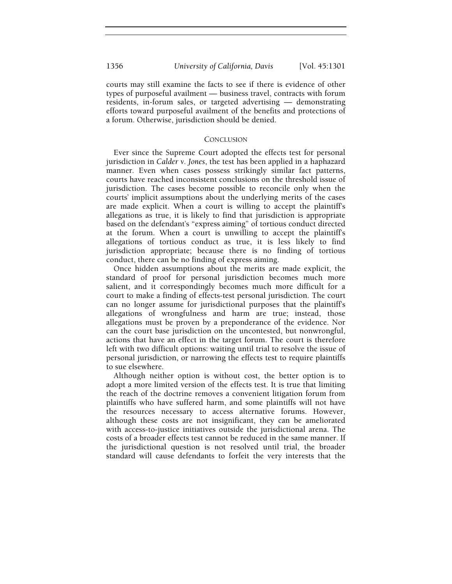courts may still examine the facts to see if there is evidence of other types of purposeful availment — business travel, contracts with forum residents, in-forum sales, or targeted advertising — demonstrating efforts toward purposeful availment of the benefits and protections of a forum. Otherwise, jurisdiction should be denied.

# **CONCLUSION**

Ever since the Supreme Court adopted the effects test for personal jurisdiction in *Calder v. Jones*, the test has been applied in a haphazard manner. Even when cases possess strikingly similar fact patterns, courts have reached inconsistent conclusions on the threshold issue of jurisdiction. The cases become possible to reconcile only when the courts' implicit assumptions about the underlying merits of the cases are made explicit. When a court is willing to accept the plaintiff's allegations as true, it is likely to find that jurisdiction is appropriate based on the defendant's "express aiming" of tortious conduct directed at the forum. When a court is unwilling to accept the plaintiff's allegations of tortious conduct as true, it is less likely to find jurisdiction appropriate; because there is no finding of tortious conduct, there can be no finding of express aiming.

Once hidden assumptions about the merits are made explicit, the standard of proof for personal jurisdiction becomes much more salient, and it correspondingly becomes much more difficult for a court to make a finding of effects-test personal jurisdiction. The court can no longer assume for jurisdictional purposes that the plaintiff's allegations of wrongfulness and harm are true; instead, those allegations must be proven by a preponderance of the evidence. Nor can the court base jurisdiction on the uncontested, but nonwrongful, actions that have an effect in the target forum. The court is therefore left with two difficult options: waiting until trial to resolve the issue of personal jurisdiction, or narrowing the effects test to require plaintiffs to sue elsewhere.

Although neither option is without cost, the better option is to adopt a more limited version of the effects test. It is true that limiting the reach of the doctrine removes a convenient litigation forum from plaintiffs who have suffered harm, and some plaintiffs will not have the resources necessary to access alternative forums. However, although these costs are not insignificant, they can be ameliorated with access-to-justice initiatives outside the jurisdictional arena. The costs of a broader effects test cannot be reduced in the same manner. If the jurisdictional question is not resolved until trial, the broader standard will cause defendants to forfeit the very interests that the